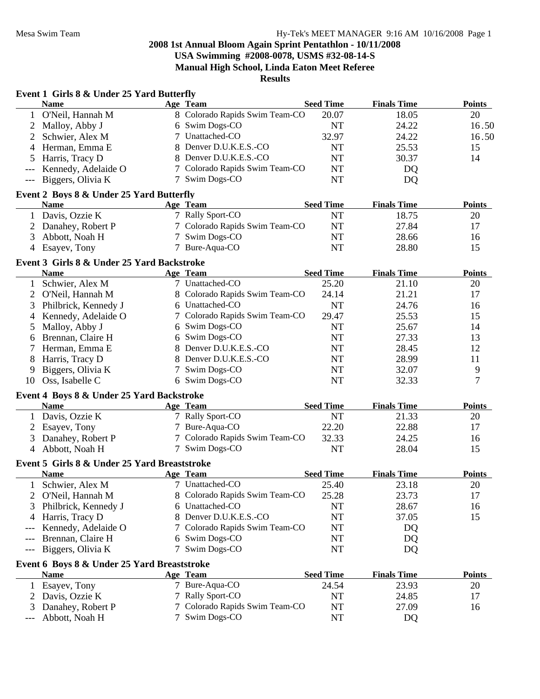**Results**

### **Event 1 Girls 8 & Under 25 Yard Butterfly**

|                                          | <b>Name</b>             |  | Age Team                       | <b>Seed Time</b> | <b>Finals Time</b> | <b>Points</b> |
|------------------------------------------|-------------------------|--|--------------------------------|------------------|--------------------|---------------|
|                                          | 1 O'Neil, Hannah M      |  | 8 Colorado Rapids Swim Team-CO | 20.07            | 18.05              | 20            |
|                                          | 2 Malloy, Abby J        |  | 6 Swim Dogs-CO                 | NT               | 24.22              | 16.50         |
|                                          | 2 Schwier, Alex M       |  | 7 Unattached-CO                | 32.97            | 24.22              | 16.50         |
|                                          | 4 Herman, Emma E        |  | 8 Denver D.U.K.E.S.-CO         | NT               | 25.53              | 15            |
|                                          | 5 Harris, Tracy D       |  | 8 Denver D.U.K.E.S.-CO         | NT               | 30.37              | 14            |
|                                          | --- Kennedy, Adelaide O |  | 7 Colorado Rapids Swim Team-CO | NT               | DQ                 |               |
|                                          | --- Biggers, Olivia K   |  | 7 Swim Dogs-CO                 | NT               | DQ                 |               |
| Event 2 Boys 8 & Under 25 Yard Butterfly |                         |  |                                |                  |                    |               |

#### **Name Age Team Seed Time Finals Time Points** 1 Davis, Ozzie K 18.75 20 2 Danahey, Robert P 27.84 17 Colorado Rapids Swim Team-CO NT 27.84 17 3 Abbott, Noah H 28.66 16 7 Swim Dogs-CO NT 28.66 16 4 Esayev, Tony 7 Bure-Aqua-CO NT 28.80 15

# **Event 3 Girls 8 & Under 25 Yard Backstroke**

|    | <b>Name</b>            | Age Team                       | <b>Seed Time</b> | <b>Finals Time</b> | <b>Points</b> |
|----|------------------------|--------------------------------|------------------|--------------------|---------------|
|    | Schwier, Alex M        | 7 Unattached-CO                | 25.20            | 21.10              | 20            |
|    | 2 O'Neil, Hannah M     | 8 Colorado Rapids Swim Team-CO | 24.14            | 21.21              | 17            |
|    | 3 Philbrick, Kennedy J | 6 Unattached-CO                | NT               | 24.76              | 16            |
|    | 4 Kennedy, Adelaide O  | 7 Colorado Rapids Swim Team-CO | 29.47            | 25.53              | 15            |
|    | 5 Malloy, Abby J       | 6 Swim Dogs-CO                 | NT               | 25.67              | 14            |
|    | 6 Brennan, Claire H    | 6 Swim Dogs-CO                 | NT               | 27.33              | 13            |
|    | Herman, Emma E         | 8 Denver D.U.K.E.S.-CO         | NT               | 28.45              | 12            |
| 8  | Harris, Tracy D        | 8 Denver D.U.K.E.S.-CO         | NT               | 28.99              | 11            |
| 9  | Biggers, Olivia K      | 7 Swim Dogs-CO                 | NT               | 32.07              | Q             |
| 10 | Oss, Isabelle C        | 6 Swim Dogs-CO                 | NT               | 32.33              |               |

#### **Event 4 Boys 8 & Under 25 Yard Backstroke**

| Name                | Age Team                       | <b>Seed Time</b> | <b>Finals Time</b> | <b>Points</b> |
|---------------------|--------------------------------|------------------|--------------------|---------------|
| Davis, Ozzie K      | 7 Rally Sport-CO               | NT               | 21.33              | 20            |
| 2 Esayev, Tony      | 7 Bure-Aqua-CO                 | 22.20            | 22.88              |               |
| 3 Danahey, Robert P | 7 Colorado Rapids Swim Team-CO | 32.33            | 24.25              | 16            |
| Abbott, Noah H      | 7 Swim Dogs-CO                 | NT               | 28.04              |               |

# **Event 5 Girls 8 & Under 25 Yard Breaststroke**

| плата он о монал по тага ргейн анг          |                                |                  |                    |               |
|---------------------------------------------|--------------------------------|------------------|--------------------|---------------|
| <b>Name</b>                                 | Age Team                       | <b>Seed Time</b> | <b>Finals Time</b> | <b>Points</b> |
| Schwier, Alex M                             | 7 Unattached-CO                | 25.40            | 23.18              | 20            |
| 2 O'Neil, Hannah M                          | 8 Colorado Rapids Swim Team-CO | 25.28            | 23.73              | 17            |
| 3 Philbrick, Kennedy J                      | 6 Unattached-CO                | NT               | 28.67              | 16            |
| 4 Harris, Tracy D                           | 8 Denver D.U.K.E.S.-CO         | NT               | 37.05              | 15            |
| --- Kennedy, Adelaide O                     | 7 Colorado Rapids Swim Team-CO | NT               | DQ                 |               |
| --- Brennan, Claire H                       | 6 Swim Dogs-CO                 | NT               | DQ                 |               |
| --- Biggers, Olivia K                       | 7 Swim Dogs-CO                 | NT               | DQ                 |               |
| Event 6 Boys 8 & Under 25 Yard Breaststroke |                                |                  |                    |               |
| <b>Name</b>                                 | Age Team                       | <b>Seed Time</b> | <b>Finals Time</b> | <b>Points</b> |
| Esayev, Tony                                | 7 Bure-Aqua-CO                 | 24.54            | 23.93              | 20            |
| 2 Davis, Ozzie K                            | 7 Rally Sport-CO               | NT               | 24.85              | 17            |
| 3 Danahey, Robert P                         | 7 Colorado Rapids Swim Team-CO | NT               | 27.09              | 16            |
| --- Abbott, Noah H                          | 7 Swim Dogs-CO                 | NT               | DQ                 |               |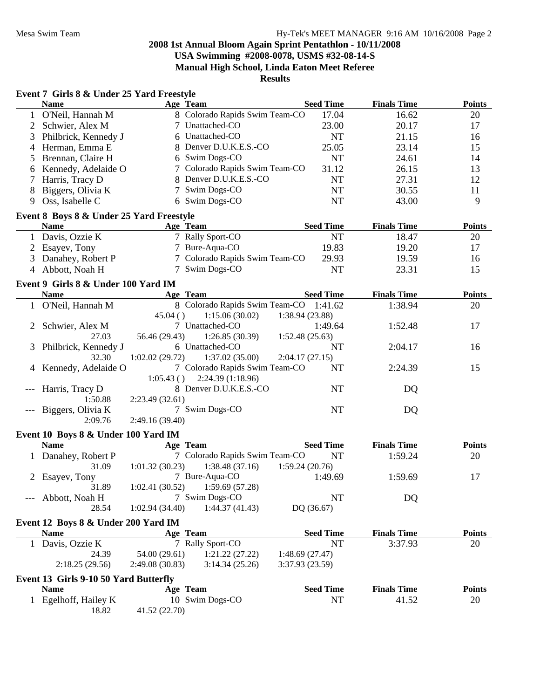|   | Event 7 Girls 8 & Under 25 Yard Freestyle |                 |                                        |                  |                    |               |
|---|-------------------------------------------|-----------------|----------------------------------------|------------------|--------------------|---------------|
|   | <b>Name</b>                               |                 | Age Team                               | <b>Seed Time</b> | <b>Finals Time</b> | <b>Points</b> |
|   | 1 O'Neil, Hannah M                        |                 | 8 Colorado Rapids Swim Team-CO         | 17.04            | 16.62              | 20            |
| 2 | Schwier, Alex M                           |                 | 7 Unattached-CO                        | 23.00            | 20.17              | 17            |
| 3 | Philbrick, Kennedy J                      |                 | 6 Unattached-CO                        | <b>NT</b>        | 21.15              | 16            |
| 4 | Herman, Emma E                            |                 | 8 Denver D.U.K.E.S.-CO                 | 25.05            | 23.14              | 15            |
| 5 | Brennan, Claire H                         |                 | 6 Swim Dogs-CO                         | <b>NT</b>        | 24.61              | 14            |
| 6 | Kennedy, Adelaide O                       |                 | Colorado Rapids Swim Team-CO           | 31.12            | 26.15              | 13            |
| 7 | Harris, Tracy D                           | 8               | Denver D.U.K.E.S.-CO                   | <b>NT</b>        | 27.31              | 12            |
| 8 | Biggers, Olivia K                         |                 | Swim Dogs-CO                           | <b>NT</b>        | 30.55              | 11            |
|   | 9 Oss, Isabelle C                         |                 | 6 Swim Dogs-CO                         | <b>NT</b>        | 43.00              | 9             |
|   | Event 8 Boys 8 & Under 25 Yard Freestyle  |                 |                                        |                  |                    |               |
|   | <b>Name</b>                               | Age Team        |                                        | <b>Seed Time</b> | <b>Finals Time</b> | <b>Points</b> |
|   | 1 Davis, Ozzie K                          |                 | 7 Rally Sport-CO                       | <b>NT</b>        | 18.47              | 20            |
|   | 2 Esayev, Tony                            |                 | 7 Bure-Aqua-CO                         | 19.83            | 19.20              | 17            |
|   | 3 Danahey, Robert P                       |                 | 7 Colorado Rapids Swim Team-CO         | 29.93            | 19.59              | 16            |
|   | 4 Abbott, Noah H                          |                 | 7 Swim Dogs-CO                         | <b>NT</b>        | 23.31              | 15            |
|   | Event 9 Girls 8 & Under 100 Yard IM       |                 |                                        |                  |                    |               |
|   | <b>Name</b>                               |                 | Age Team                               | <b>Seed Time</b> | <b>Finals Time</b> | <b>Points</b> |
|   | 1 O'Neil, Hannah M                        |                 | 8 Colorado Rapids Swim Team-CO 1:41.62 |                  | 1:38.94            | 20            |
|   |                                           | 45.04()         | 1:15.06(30.02)                         | 1:38.94 (23.88)  |                    |               |
| 2 | Schwier, Alex M                           |                 | 7 Unattached-CO                        | 1:49.64          | 1:52.48            | 17            |
|   | 27.03                                     | 56.46 (29.43)   | 1:26.85(30.39)                         | 1:52.48(25.63)   |                    |               |
| 3 | Philbrick, Kennedy J                      |                 | 6 Unattached-CO                        | NT               | 2:04.17            | 16            |
|   | 32.30                                     | 1:02.02(29.72)  | 1:37.02(35.00)                         | 2:04.17(27.15)   |                    |               |
| 4 | Kennedy, Adelaide O                       |                 | 7 Colorado Rapids Swim Team-CO         | <b>NT</b>        | 2:24.39            | 15            |
|   |                                           | 1:05.43()       | 2:24.39 (1:18.96)                      |                  |                    |               |
|   | Harris, Tracy D                           |                 | 8 Denver D.U.K.E.S.-CO                 | <b>NT</b>        | DQ                 |               |
|   | 1:50.88                                   | 2:23.49(32.61)  |                                        |                  |                    |               |
|   | Biggers, Olivia K                         |                 | 7 Swim Dogs-CO                         | NT               | DQ                 |               |
|   | 2:09.76                                   | 2:49.16 (39.40) |                                        |                  |                    |               |
|   | Event 10 Boys 8 & Under 100 Yard IM       |                 |                                        |                  |                    |               |
|   | <b>Name</b>                               |                 | Age Team                               | <b>Seed Time</b> | <b>Finals Time</b> | <b>Points</b> |
|   | 1 Danahey, Robert P                       |                 | 7 Colorado Rapids Swim Team-CO         | <b>NT</b>        | 1:59.24            | 20            |
|   | 31.09                                     | 1:01.32(30.23)  | 1:38.48(37.16)                         | 1:59.24(20.76)   |                    |               |
|   | 2 Esayev, Tony                            |                 | 7 Bure-Aqua-CO                         | 1:49.69          | 1:59.69            | 17            |
|   | 31.89                                     |                 | $1:02.41(30.52)$ $1:59.69(57.28)$      |                  |                    |               |
|   | Abbott, Noah H                            |                 | 7 Swim Dogs-CO                         | <b>NT</b>        | DQ                 |               |
|   | 28.54                                     | 1:02.94(34.40)  | 1:44.37(41.43)                         | DQ (36.67)       |                    |               |
|   | Event 12 Boys 8 & Under 200 Yard IM       |                 |                                        |                  |                    |               |
|   | <b>Name</b>                               |                 | Age Team                               | <b>Seed Time</b> | <b>Finals Time</b> | <b>Points</b> |
|   | 1 Davis, Ozzie K                          |                 | 7 Rally Sport-CO                       | <b>NT</b>        | 3:37.93            | 20            |
|   | 24.39                                     | 54.00 (29.61)   | 1:21.22(27.22)                         | 1:48.69(27.47)   |                    |               |
|   | 2:18.25(29.56)                            | 2:49.08 (30.83) | 3:14.34(25.26)                         | 3:37.93 (23.59)  |                    |               |
|   | Event 13 Girls 9-10 50 Yard Butterfly     |                 |                                        |                  |                    |               |
|   | <b>Name</b>                               |                 | Age Team                               | <b>Seed Time</b> | <b>Finals Time</b> | <b>Points</b> |
| 1 | Egelhoff, Hailey K                        |                 | 10 Swim Dogs-CO                        | NT               | 41.52              | 20            |
|   | 18.82                                     | 41.52 (22.70)   |                                        |                  |                    |               |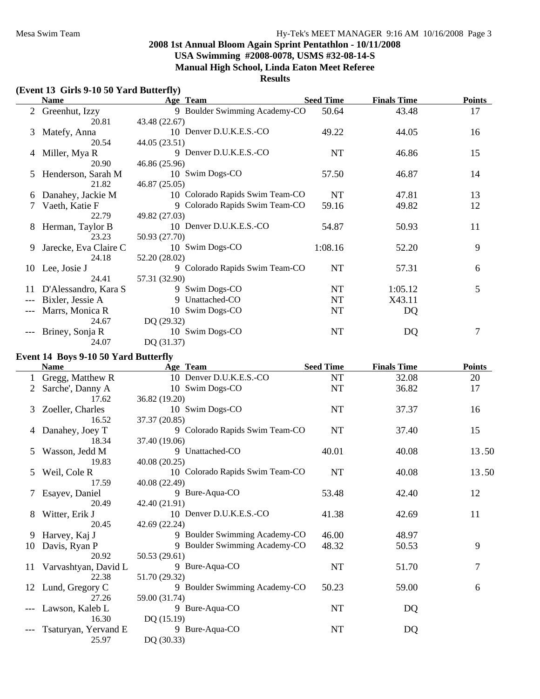# **Results**

# **(Event 13 Girls 9-10 50 Yard Butterfly)**

|       | <b>Name</b>           | Age Team                        | <b>Seed Time</b> | <b>Finals Time</b> | <b>Points</b> |
|-------|-----------------------|---------------------------------|------------------|--------------------|---------------|
|       | 2 Greenhut, Izzy      | 9 Boulder Swimming Academy-CO   | 50.64            | 43.48              | 17            |
|       | 20.81                 | 43.48 (22.67)                   |                  |                    |               |
| 3     | Matefy, Anna          | 10 Denver D.U.K.E.S.-CO         | 49.22            | 44.05              | 16            |
|       | 20.54                 | 44.05 (23.51)                   |                  |                    |               |
|       | 4 Miller, Mya R       | 9 Denver D.U.K.E.S.-CO          | <b>NT</b>        | 46.86              | 15            |
|       | 20.90                 | 46.86 (25.96)                   |                  |                    |               |
| 5     | Henderson, Sarah M    | 10 Swim Dogs-CO                 | 57.50            | 46.87              | 14            |
|       | 21.82                 | 46.87 (25.05)                   |                  |                    |               |
| b     | Danahey, Jackie M     | 10 Colorado Rapids Swim Team-CO | <b>NT</b>        | 47.81              | 13            |
|       | Vaeth, Katie F        | 9 Colorado Rapids Swim Team-CO  | 59.16            | 49.82              | 12            |
|       | 22.79                 | 49.82 (27.03)                   |                  |                    |               |
| 8     | Herman, Taylor B      | 10 Denver D.U.K.E.S.-CO         | 54.87            | 50.93              | 11            |
|       | 23.23                 | 50.93 (27.70)                   |                  |                    |               |
| 9     | Jarecke, Eva Claire C | 10 Swim Dogs-CO                 | 1:08.16          | 52.20              | 9             |
|       | 24.18                 | 52.20 (28.02)                   |                  |                    |               |
| 10    | Lee, Josie J          | 9 Colorado Rapids Swim Team-CO  | NT               | 57.31              | 6             |
|       | 24.41                 | 57.31 (32.90)                   |                  |                    |               |
| 11    | D'Alessandro, Kara S  | 9 Swim Dogs-CO                  | NT               | 1:05.12            | 5             |
|       | Bixler, Jessie A      | 9 Unattached-CO                 | NT               | X43.11             |               |
|       | Marrs, Monica R       | 10 Swim Dogs-CO                 | NT               | DQ                 |               |
|       | 24.67                 | DQ (29.32)                      |                  |                    |               |
| $---$ | Briney, Sonja R       | 10 Swim Dogs-CO                 | <b>NT</b>        | DQ                 | 7             |
|       | 24.07                 | DQ (31.37)                      |                  |                    |               |

#### **Event 14 Boys 9-10 50 Yard Butterfly**

|    | <b>Name</b>          | Age Team                        | <b>Seed Time</b> | <b>Finals Time</b> | <b>Points</b>  |
|----|----------------------|---------------------------------|------------------|--------------------|----------------|
|    | Gregg, Matthew R     | 10 Denver D.U.K.E.S.-CO         | NT               | 32.08              | 20             |
|    | Sarche', Danny A     | 10 Swim Dogs-CO                 | NT               | 36.82              | 17             |
|    | 17.62                | 36.82 (19.20)                   |                  |                    |                |
| 3  | Zoeller, Charles     | 10 Swim Dogs-CO                 | <b>NT</b>        | 37.37              | 16             |
|    | 16.52                | 37.37 (20.85)                   |                  |                    |                |
|    | Danahey, Joey T      | 9 Colorado Rapids Swim Team-CO  | NT               | 37.40              | 15             |
|    | 18.34                | 37.40 (19.06)                   |                  |                    |                |
| 5  | Wasson, Jedd M       | 9 Unattached-CO                 | 40.01            | 40.08              | 13.50          |
|    | 19.83                | 40.08 (20.25)                   |                  |                    |                |
| 5  | Weil, Cole R         | 10 Colorado Rapids Swim Team-CO | NT               | 40.08              | 13.50          |
|    | 17.59                | 40.08 (22.49)                   |                  |                    |                |
|    | Esayev, Daniel       | 9 Bure-Aqua-CO                  | 53.48            | 42.40              | 12             |
|    | 20.49                | 42.40 (21.91)                   |                  |                    |                |
| 8  | Witter, Erik J       | 10 Denver D.U.K.E.S.-CO         | 41.38            | 42.69              | 11             |
|    | 20.45                | 42.69 (22.24)                   |                  |                    |                |
|    | 9 Harvey, Kaj J      | 9 Boulder Swimming Academy-CO   | 46.00            | 48.97              |                |
| 10 | Davis, Ryan P        | 9 Boulder Swimming Academy-CO   | 48.32            | 50.53              | 9              |
|    | 20.92                | 50.53 (29.61)                   |                  |                    |                |
| 11 | Varvashtyan, David L | 9 Bure-Aqua-CO                  | <b>NT</b>        | 51.70              | $\overline{7}$ |
|    | 22.38                | 51.70 (29.32)                   |                  |                    |                |
|    | 12 Lund, Gregory C   | 9 Boulder Swimming Academy-CO   | 50.23            | 59.00              | 6              |
|    | 27.26                | 59.00 (31.74)                   |                  |                    |                |
|    | Lawson, Kaleb L      | 9 Bure-Aqua-CO                  | <b>NT</b>        | DQ                 |                |
|    | 16.30                | DQ (15.19)                      |                  |                    |                |
|    | Tsaturyan, Yervand E | 9 Bure-Aqua-CO                  | NT               | DQ                 |                |
|    | 25.97                | DQ (30.33)                      |                  |                    |                |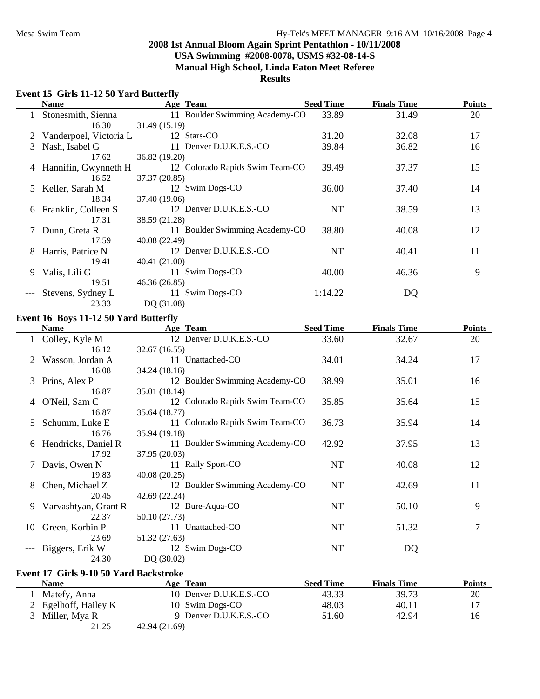#### **Results**

# **Event 15 Girls 11-12 50 Yard Butterfly**

|    | <b>Name</b>              |               | Age Team                        | <b>Seed Time</b> | <b>Finals Time</b> | <b>Points</b> |
|----|--------------------------|---------------|---------------------------------|------------------|--------------------|---------------|
|    | Stonesmith, Sienna       |               | 11 Boulder Swimming Academy-CO  | 33.89            | 31.49              | 20            |
|    | 16.30                    | 31.49 (15.19) |                                 |                  |                    |               |
|    | 2 Vanderpoel, Victoria L |               | 12 Stars-CO                     | 31.20            | 32.08              | 17            |
| 3  | Nash, Isabel G           |               | 11 Denver D.U.K.E.S.-CO         | 39.84            | 36.82              | 16            |
|    | 17.62                    | 36.82 (19.20) |                                 |                  |                    |               |
|    | 4 Hannifin, Gwynneth H   |               | 12 Colorado Rapids Swim Team-CO | 39.49            | 37.37              | 15            |
|    | 16.52                    | 37.37 (20.85) |                                 |                  |                    |               |
| 5. | Keller, Sarah M          |               | 12 Swim Dogs-CO                 | 36.00            | 37.40              | 14            |
|    | 18.34                    | 37.40 (19.06) |                                 |                  |                    |               |
| 6  | Franklin, Colleen S      |               | 12 Denver D.U.K.E.S.-CO         | NT               | 38.59              | 13            |
|    | 17.31                    | 38.59 (21.28) |                                 |                  |                    |               |
|    | 7 Dunn, Greta R          |               | 11 Boulder Swimming Academy-CO  | 38.80            | 40.08              | 12            |
|    | 17.59                    | 40.08 (22.49) |                                 |                  |                    |               |
| 8  | Harris, Patrice N        |               | 12 Denver D.U.K.E.S.-CO         | NT               | 40.41              | 11            |
|    | 19.41                    | 40.41 (21.00) |                                 |                  |                    |               |
| 9  | Valis, Lili G            |               | 11 Swim Dogs-CO                 | 40.00            | 46.36              | 9             |
|    | 19.51                    | 46.36 (26.85) |                                 |                  |                    |               |
|    | Stevens, Sydney L        |               | 11 Swim Dogs-CO                 | 1:14.22          | DQ                 |               |
|    | 23.33                    | DQ (31.08)    |                                 |                  |                    |               |

# **Event 16 Boys 11-12 50 Yard Butterfly**

|   | <b>Name</b>          | Age Team                        | <b>Seed Time</b> | <b>Finals Time</b> | <b>Points</b> |
|---|----------------------|---------------------------------|------------------|--------------------|---------------|
|   | 1 Colley, Kyle M     | 12 Denver D.U.K.E.S.-CO         | 33.60            | 32.67              | 20            |
|   | 16.12                | 32.67 (16.55)                   |                  |                    |               |
|   | Wasson, Jordan A     | 11 Unattached-CO                | 34.01            | 34.24              | 17            |
|   | 16.08                | 34.24 (18.16)                   |                  |                    |               |
| 3 | Prins, Alex P        | 12 Boulder Swimming Academy-CO  | 38.99            | 35.01              | 16            |
|   | 16.87                | 35.01 (18.14)                   |                  |                    |               |
| 4 | O'Neil, Sam C        | 12 Colorado Rapids Swim Team-CO | 35.85            | 35.64              | 15            |
|   | 16.87                | 35.64 (18.77)                   |                  |                    |               |
| 5 | Schumm, Luke E       | 11 Colorado Rapids Swim Team-CO | 36.73            | 35.94              | 14            |
|   | 16.76                | 35.94 (19.18)                   |                  |                    |               |
| 6 | Hendricks, Daniel R  | 11 Boulder Swimming Academy-CO  | 42.92            | 37.95              | 13            |
|   | 17.92                | 37.95 (20.03)                   |                  |                    |               |
|   | Davis, Owen N        | 11 Rally Sport-CO               | NT               | 40.08              | 12            |
|   | 19.83                | 40.08 (20.25)                   |                  |                    |               |
| 8 | Chen, Michael Z      | 12 Boulder Swimming Academy-CO  | <b>NT</b>        | 42.69              | 11            |
|   | 20.45                | 42.69 (22.24)                   |                  |                    |               |
| 9 | Varvashtyan, Grant R | 12 Bure-Aqua-CO                 | NT               | 50.10              | 9             |
|   | 22.37                | 50.10 (27.73)                   |                  |                    |               |
|   | 10 Green, Korbin P   | 11 Unattached-CO                | NT               | 51.32              | 7             |
|   | 23.69                | 51.32 (27.63)                   |                  |                    |               |
|   | Biggers, Erik W      | 12 Swim Dogs-CO                 | NT               | DQ                 |               |
|   | 24.30                | DQ (30.02)                      |                  |                    |               |

## **Event 17 Girls 9-10 50 Yard Backstroke**

| Name                 | <b>Age Team</b>         | <b>Seed Time</b> | <b>Finals Time</b> | Points |
|----------------------|-------------------------|------------------|--------------------|--------|
| Matefy, Anna         | 10 Denver D.U.K.E.S.-CO | 43.33            | 39.73              | 20     |
| 2 Egelhoff, Hailey K | 10 Swim Dogs-CO         | 48.03            | 40.11              |        |
| 3 Miller, Mya R      | 9 Denver D.U.K.E.S.-CO  | 51.60            | 42.94              | 16     |
| 21.25                | 42.94 (21.69)           |                  |                    |        |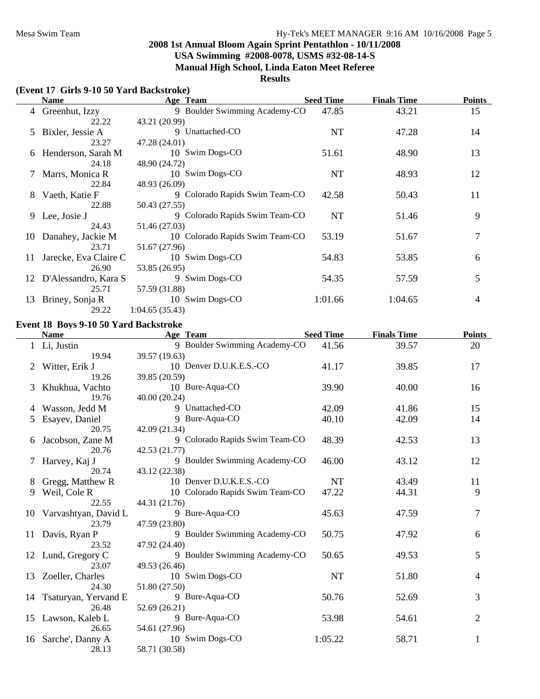# **Results**

# **(Event 17 Girls 9-10 50 Yard Backstroke)**

|    | <b>Name</b>             | Age Team                        | <b>Seed Time</b> | <b>Finals Time</b> | <b>Points</b> |
|----|-------------------------|---------------------------------|------------------|--------------------|---------------|
|    | 4 Greenhut, Izzy        | 9 Boulder Swimming Academy-CO   | 47.85            | 43.21              | 15            |
|    | 22.22                   | 43.21 (20.99)                   |                  |                    |               |
|    | 5 Bixler, Jessie A      | 9 Unattached-CO                 | NT               | 47.28              | 14            |
|    | 23.27                   | 47.28 (24.01)                   |                  |                    |               |
|    | 6 Henderson, Sarah M    | 10 Swim Dogs-CO                 | 51.61            | 48.90              | 13            |
|    | 24.18                   | 48.90 (24.72)                   |                  |                    |               |
|    | 7 Marrs, Monica R       | 10 Swim Dogs-CO                 | NT               | 48.93              | 12            |
|    | 22.84                   | 48.93 (26.09)                   |                  |                    |               |
| 8  | Vaeth, Katie F          | 9 Colorado Rapids Swim Team-CO  | 42.58            | 50.43              | 11            |
|    | 22.88                   | 50.43 (27.55)                   |                  |                    |               |
|    | 9 Lee, Josie J          | 9 Colorado Rapids Swim Team-CO  | <b>NT</b>        | 51.46              | 9             |
|    | 24.43                   | 51.46 (27.03)                   |                  |                    |               |
| 10 | Danahey, Jackie M       | 10 Colorado Rapids Swim Team-CO | 53.19            | 51.67              | 7             |
|    | 23.71                   | 51.67 (27.96)                   |                  |                    |               |
| 11 | Jarecke, Eva Claire C   | 10 Swim Dogs-CO                 | 54.83            | 53.85              | 6             |
|    | 26.90                   | 53.85 (26.95)                   |                  |                    |               |
|    | 12 D'Alessandro, Kara S | 9 Swim Dogs-CO                  | 54.35            | 57.59              | 5             |
|    | 25.71                   | 57.59 (31.88)                   |                  |                    |               |
| 13 | Briney, Sonja R         | 10 Swim Dogs-CO                 | 1:01.66          | 1:04.65            | 4             |
|    | 29.22                   | 1:04.65(35.43)                  |                  |                    |               |

#### **Event 18 Boys 9-10 50 Yard Backstroke**

|    | <b>Name</b>          | Age Team                        | <b>Seed Time</b> | <b>Finals Time</b> | <b>Points</b>  |
|----|----------------------|---------------------------------|------------------|--------------------|----------------|
|    | 1 Li, Justin         | 9 Boulder Swimming Academy-CO   | 41.56            | 39.57              | 20             |
|    | 19.94                | 39.57 (19.63)                   |                  |                    |                |
| 2  | Witter, Erik J       | 10 Denver D.U.K.E.S.-CO         | 41.17            | 39.85              | 17             |
|    | 19.26                | 39.85 (20.59)                   |                  |                    |                |
| 3  | Khukhua, Vachto      | 10 Bure-Aqua-CO                 | 39.90            | 40.00              | 16             |
|    | 19.76                | 40.00 (20.24)                   |                  |                    |                |
| 4  | Wasson, Jedd M       | 9 Unattached-CO                 | 42.09            | 41.86              | 15             |
| 5  | Esayev, Daniel       | 9 Bure-Aqua-CO                  | 40.10            | 42.09              | 14             |
|    | 20.75                | 42.09 (21.34)                   |                  |                    |                |
|    | Jacobson, Zane M     | 9 Colorado Rapids Swim Team-CO  | 48.39            | 42.53              | 13             |
|    | 20.76                | 42.53 (21.77)                   |                  |                    |                |
|    | Harvey, Kaj J        | 9 Boulder Swimming Academy-CO   | 46.00            | 43.12              | 12             |
|    | 20.74                | 43.12 (22.38)                   |                  |                    |                |
| 8  | Gregg, Matthew R     | 10 Denver D.U.K.E.S.-CO         | <b>NT</b>        | 43.49              | 11             |
| 9  | Weil, Cole R         | 10 Colorado Rapids Swim Team-CO | 47.22            | 44.31              | 9              |
|    | 22.55                | 44.31 (21.76)                   |                  |                    |                |
| 10 | Varvashtyan, David L | 9 Bure-Aqua-CO                  | 45.63            | 47.59              | $\overline{7}$ |
|    | 23.79                | 47.59 (23.80)                   |                  |                    |                |
|    | 11 Davis, Ryan P     | 9 Boulder Swimming Academy-CO   | 50.75            | 47.92              | 6              |
|    | 23.52                | 47.92 (24.40)                   |                  |                    |                |
|    | 12 Lund, Gregory C   | 9 Boulder Swimming Academy-CO   | 50.65            | 49.53              | 5              |
|    | 23.07                | 49.53 (26.46)                   |                  |                    |                |
| 13 | Zoeller, Charles     | 10 Swim Dogs-CO                 | NT               | 51.80              | 4              |
|    | 24.30                | 51.80 (27.50)                   |                  |                    |                |
| 14 | Tsaturyan, Yervand E | 9 Bure-Aqua-CO                  | 50.76            | 52.69              | 3              |
|    | 26.48                | 52.69 (26.21)                   |                  |                    |                |
| 15 | Lawson, Kaleb L      | 9 Bure-Aqua-CO                  | 53.98            | 54.61              | 2              |
|    | 26.65                | 54.61 (27.96)                   |                  |                    |                |
| 16 | Sarche', Danny A     | 10 Swim Dogs-CO                 | 1:05.22          | 58.71              | 1              |
|    | 28.13                | 58.71 (30.58)                   |                  |                    |                |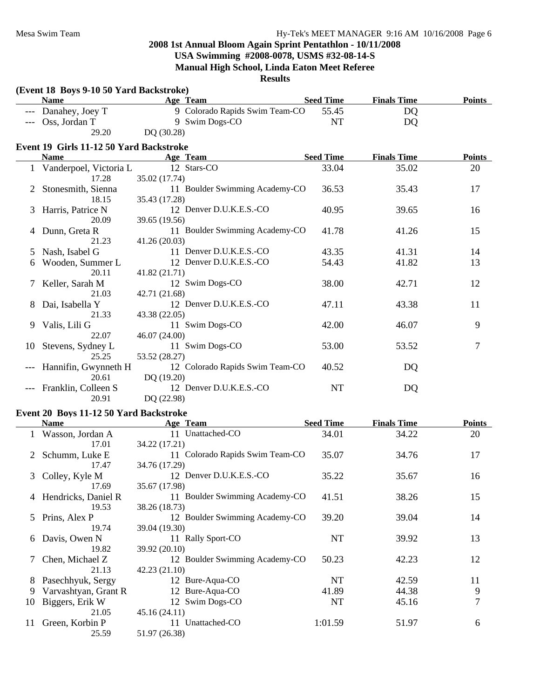# **2008 1st Annual Bloom Again Sprint Pentathlon - 10/11/2008 USA Swimming #2008-0078, USMS #32-08-14-S**

# **Manual High School, Linda Eaton Meet Referee**

# **Results**

|    | (Event 18 Boys 9-10 50 Yard Backstroke) |                                 |                  |                    |               |
|----|-----------------------------------------|---------------------------------|------------------|--------------------|---------------|
|    | <b>Name</b>                             | Age Team                        | <b>Seed Time</b> | <b>Finals Time</b> | <b>Points</b> |
|    | Danahey, Joey T                         | 9 Colorado Rapids Swim Team-CO  | 55.45            | DQ                 |               |
|    | Oss, Jordan T                           | 9 Swim Dogs-CO                  | <b>NT</b>        | DQ                 |               |
|    | 29.20                                   | DQ (30.28)                      |                  |                    |               |
|    | Event 19 Girls 11-12 50 Yard Backstroke |                                 |                  |                    |               |
|    | <b>Name</b>                             | Age Team                        | <b>Seed Time</b> | <b>Finals Time</b> | <b>Points</b> |
|    | Vanderpoel, Victoria L                  | 12 Stars-CO                     | 33.04            | 35.02              | 20            |
|    | 17.28                                   | 35.02 (17.74)                   |                  |                    |               |
| 2  | Stonesmith, Sienna                      | 11 Boulder Swimming Academy-CO  | 36.53            | 35.43              | 17            |
|    | 18.15                                   | 35.43 (17.28)                   |                  |                    |               |
| 3  | Harris, Patrice N                       | 12 Denver D.U.K.E.S.-CO         | 40.95            | 39.65              | 16            |
|    | 20.09                                   | 39.65 (19.56)                   |                  |                    |               |
| 4  | Dunn, Greta R                           | 11 Boulder Swimming Academy-CO  | 41.78            | 41.26              | 15            |
|    | 21.23                                   | 41.26 (20.03)                   |                  |                    |               |
| 5  | Nash, Isabel G                          | 11 Denver D.U.K.E.S.-CO         | 43.35            | 41.31              | 14            |
| 6  | Wooden, Summer L                        | 12 Denver D.U.K.E.S.-CO         | 54.43            | 41.82              | 13            |
|    | 20.11                                   | 41.82 (21.71)                   |                  |                    |               |
|    | Keller, Sarah M                         | 12 Swim Dogs-CO                 | 38.00            | 42.71              | 12            |
|    | 21.03                                   | 42.71 (21.68)                   |                  |                    |               |
| 8  | Dai, Isabella Y                         | 12 Denver D.U.K.E.S.-CO         | 47.11            | 43.38              | 11            |
|    | 21.33                                   | 43.38 (22.05)                   |                  |                    |               |
| 9  | Valis, Lili G                           | 11 Swim Dogs-CO                 | 42.00            | 46.07              | 9             |
|    | 22.07                                   | 46.07 (24.00)                   |                  |                    |               |
| 10 | Stevens, Sydney L                       | 11 Swim Dogs-CO                 | 53.00            | 53.52              | 7             |
|    | 25.25                                   | 53.52 (28.27)                   |                  |                    |               |
|    | Hannifin, Gwynneth H                    | 12 Colorado Rapids Swim Team-CO | 40.52            | DQ                 |               |
|    | 20.61                                   | DQ (19.20)                      |                  |                    |               |
|    | Franklin, Colleen S                     | 12 Denver D.U.K.E.S.-CO         | <b>NT</b>        | DQ                 |               |
|    | 20.91                                   | DQ (22.98)                      |                  |                    |               |

#### **Event 20 Boys 11-12 50 Yard Backstroke**

|    | <b>Name</b>           | Age Team                        | <b>Seed Time</b> | <b>Finals Time</b> | <b>Points</b> |
|----|-----------------------|---------------------------------|------------------|--------------------|---------------|
|    | Wasson, Jordan A      | 11 Unattached-CO                | 34.01            | 34.22              | 20            |
|    | 17.01                 | 34.22 (17.21)                   |                  |                    |               |
|    | 2 Schumm, Luke E      | 11 Colorado Rapids Swim Team-CO | 35.07            | 34.76              | 17            |
|    | 17.47                 | 34.76 (17.29)                   |                  |                    |               |
|    | 3 Colley, Kyle M      | 12 Denver D.U.K.E.S.-CO         | 35.22            | 35.67              | 16            |
|    | 17.69                 | 35.67 (17.98)                   |                  |                    |               |
|    | 4 Hendricks, Daniel R | 11 Boulder Swimming Academy-CO  | 41.51            | 38.26              | 15            |
|    | 19.53                 | 38.26 (18.73)                   |                  |                    |               |
| 5  | Prins, Alex P         | 12 Boulder Swimming Academy-CO  | 39.20            | 39.04              | 14            |
|    | 19.74                 | 39.04 (19.30)                   |                  |                    |               |
| 6  | Davis, Owen N         | 11 Rally Sport-CO               | NT               | 39.92              | 13            |
|    | 19.82                 | 39.92 (20.10)                   |                  |                    |               |
|    | Chen, Michael Z       | 12 Boulder Swimming Academy-CO  | 50.23            | 42.23              | 12            |
|    | 21.13                 | 42.23 (21.10)                   |                  |                    |               |
| 8  | Pasechhyuk, Sergy     | 12 Bure-Aqua-CO                 | NT               | 42.59              | 11            |
| 9  | Varvashtyan, Grant R  | 12 Bure-Aqua-CO                 | 41.89            | 44.38              | 9             |
| 10 | Biggers, Erik W       | 12 Swim Dogs-CO                 | NT               | 45.16              | 7             |
|    | 21.05                 | 45.16(24.11)                    |                  |                    |               |
| 11 | Green, Korbin P       | 11 Unattached-CO                | 1:01.59          | 51.97              | 6             |
|    | 25.59                 | 51.97 (26.38)                   |                  |                    |               |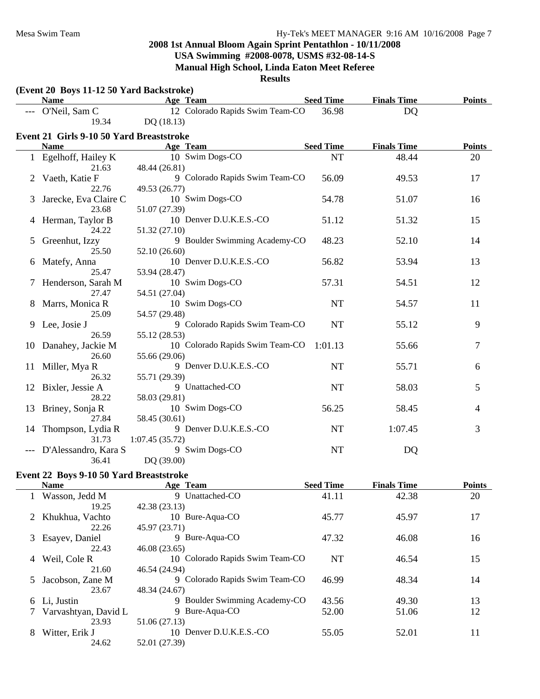**(Event 20 Boys 11-12 50 Yard Backstroke)**

# **2008 1st Annual Bloom Again Sprint Pentathlon - 10/11/2008 USA Swimming #2008-0078, USMS #32-08-14-S Manual High School, Linda Eaton Meet Referee**

|              | <b>Name</b>                              |                | Age Team                        | <b>Seed Time</b> | <b>Finals Time</b> | <b>Points</b> |
|--------------|------------------------------------------|----------------|---------------------------------|------------------|--------------------|---------------|
|              | O'Neil, Sam C                            |                | 12 Colorado Rapids Swim Team-CO | 36.98            | DQ                 |               |
|              | 19.34                                    | DQ (18.13)     |                                 |                  |                    |               |
|              | Event 21 Girls 9-10 50 Yard Breaststroke |                |                                 |                  |                    |               |
|              | <b>Name</b>                              |                | Age Team                        | <b>Seed Time</b> | <b>Finals Time</b> | <b>Points</b> |
|              | 1 Egelhoff, Hailey K                     |                | 10 Swim Dogs-CO                 | <b>NT</b>        | 48.44              | 20            |
|              | 21.63                                    | 48.44 (26.81)  |                                 |                  |                    |               |
|              | Vaeth, Katie F                           |                | 9 Colorado Rapids Swim Team-CO  | 56.09            | 49.53              | 17            |
|              | 22.76                                    | 49.53 (26.77)  |                                 |                  |                    |               |
|              | Jarecke, Eva Claire C                    |                | 10 Swim Dogs-CO                 | 54.78            | 51.07              | 16            |
|              | 23.68                                    | 51.07 (27.39)  |                                 |                  |                    |               |
| 4            | Herman, Taylor B                         |                | 10 Denver D.U.K.E.S.-CO         | 51.12            | 51.32              | 15            |
|              | 24.22                                    | 51.32 (27.10)  |                                 |                  |                    |               |
| 5            | Greenhut, Izzy                           |                | 9 Boulder Swimming Academy-CO   | 48.23            | 52.10              | 14            |
|              | 25.50                                    | 52.10 (26.60)  |                                 |                  |                    |               |
| b            | Matefy, Anna                             |                | 10 Denver D.U.K.E.S.-CO         | 56.82            | 53.94              | 13            |
|              | 25.47                                    | 53.94 (28.47)  |                                 |                  |                    |               |
|              | Henderson, Sarah M                       |                | 10 Swim Dogs-CO                 | 57.31            | 54.51              | 12            |
|              | 27.47                                    | 54.51 (27.04)  |                                 |                  |                    |               |
| 8            | Marrs, Monica R                          |                | 10 Swim Dogs-CO                 | NT               | 54.57              | 11            |
|              | 25.09                                    | 54.57 (29.48)  |                                 |                  |                    |               |
| 9            | Lee, Josie J                             |                | 9 Colorado Rapids Swim Team-CO  | NT               | 55.12              | 9             |
|              | 26.59                                    | 55.12 (28.53)  |                                 |                  |                    |               |
| 10           | Danahey, Jackie M                        |                | 10 Colorado Rapids Swim Team-CO | 1:01.13          | 55.66              | 7             |
|              | 26.60                                    | 55.66 (29.06)  |                                 |                  |                    |               |
| 11           | Miller, Mya R                            |                | 9 Denver D.U.K.E.S.-CO          | <b>NT</b>        | 55.71              | 6             |
|              | 26.32                                    | 55.71 (29.39)  |                                 |                  |                    |               |
| 12           | Bixler, Jessie A                         |                | 9 Unattached-CO                 | <b>NT</b>        | 58.03              | 5             |
|              | 28.22                                    | 58.03 (29.81)  |                                 |                  |                    |               |
| 13           | Briney, Sonja R                          |                | 10 Swim Dogs-CO                 | 56.25            | 58.45              | 4             |
|              | 27.84                                    | 58.45 (30.61)  |                                 |                  |                    |               |
| 14           | Thompson, Lydia R                        |                | 9 Denver D.U.K.E.S.-CO          | NT               | 1:07.45            | 3             |
|              | 31.73                                    | 1:07.45(35.72) |                                 |                  |                    |               |
|              | D'Alessandro, Kara S                     |                | 9 Swim Dogs-CO                  | NT               | <b>DQ</b>          |               |
|              | 36.41                                    | DQ (39.00)     |                                 |                  |                    |               |
|              | Event 22 Boys 9-10 50 Yard Breaststroke  |                |                                 |                  |                    |               |
|              | <b>Name</b>                              |                | Age Team                        | <b>Seed Time</b> | <b>Finals Time</b> | <b>Points</b> |
| $\mathbf{I}$ | Wasson, Jedd M                           |                | 9 Unattached-CO                 | 41.11            | 42.38              | 20            |
|              | 19.25                                    | 42.38 (23.13)  |                                 |                  |                    |               |
| 2            | Khukhua, Vachto                          |                | 10 Bure-Aqua-CO                 | 45.77            | 45.97              | 17            |
|              | 22.26                                    | 45.97 (23.71)  |                                 |                  |                    |               |
| 3            | Esayev, Daniel                           |                | 9 Bure-Aqua-CO                  | 47.32            | 46.08              | 16            |
|              | 22.43                                    | 46.08 (23.65)  |                                 |                  |                    |               |
| 4            | Weil, Cole R                             |                | 10 Colorado Rapids Swim Team-CO | NT               | 46.54              | 15            |
|              | 21.60                                    | 46.54 (24.94)  |                                 |                  |                    |               |
| 5            | Jacobson, Zane M                         |                | 9 Colorado Rapids Swim Team-CO  | 46.99            | 48.34              | 14            |
|              | 23.67                                    | 48.34 (24.67)  |                                 |                  |                    |               |
| 6            | Li, Justin                               |                | 9 Boulder Swimming Academy-CO   | 43.56            | 49.30              | 13            |
| 7            | Varvashtyan, David L                     |                | 9 Bure-Aqua-CO                  | 52.00            | 51.06              | 12            |
|              | 23.93                                    | 51.06 (27.13)  |                                 |                  |                    |               |
| 8            | Witter, Erik J                           |                | 10 Denver D.U.K.E.S.-CO         | 55.05            | 52.01              | 11            |
|              | 24.62                                    | 52.01 (27.39)  |                                 |                  |                    |               |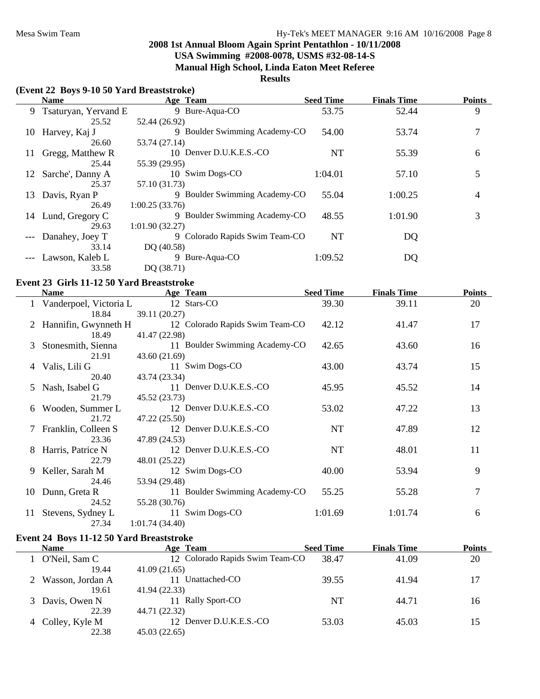# **Results**

# **(Event 22 Boys 9-10 50 Yard Breaststroke)**

|    | <b>Name</b>            | Age Team                       | <b>Seed Time</b> | <b>Finals Time</b> | <b>Points</b> |
|----|------------------------|--------------------------------|------------------|--------------------|---------------|
|    | 9 Tsaturyan, Yervand E | 9 Bure-Aqua-CO                 | 53.75            | 52.44              | 9             |
|    | 25.52                  | 52.44 (26.92)                  |                  |                    |               |
|    | 10 Harvey, Kaj J       | 9 Boulder Swimming Academy-CO  | 54.00            | 53.74              | 7             |
|    | 26.60                  | 53.74 (27.14)                  |                  |                    |               |
| 11 | Gregg, Matthew R       | 10 Denver D.U.K.E.S.-CO        | <b>NT</b>        | 55.39              | 6             |
|    | 25.44                  | 55.39 (29.95)                  |                  |                    |               |
|    | 12 Sarche', Danny A    | 10 Swim Dogs-CO                | 1:04.01          | 57.10              | 5             |
|    | 25.37                  | 57.10 (31.73)                  |                  |                    |               |
| 13 | Davis, Ryan P          | 9 Boulder Swimming Academy-CO  | 55.04            | 1:00.25            | 4             |
|    | 26.49                  | 1:00.25(33.76)                 |                  |                    |               |
|    | 14 Lund, Gregory C     | 9 Boulder Swimming Academy-CO  | 48.55            | 1:01.90            | 3             |
|    | 29.63                  | 1:01.90(32.27)                 |                  |                    |               |
|    | --- Danahey, Joey T    | 9 Colorado Rapids Swim Team-CO | <b>NT</b>        | DQ                 |               |
|    | 33.14                  | DQ $(40.58)$                   |                  |                    |               |
|    | --- Lawson, Kaleb L    | 9 Bure-Aqua-CO                 | 1:09.52          | DQ                 |               |
|    | 33.58                  | DQ (38.71)                     |                  |                    |               |

# **Event 23 Girls 11-12 50 Yard Breaststroke**

|    | <b>Name</b>            | Age Team                        | <b>Seed Time</b> | <b>Finals Time</b> | <b>Points</b> |
|----|------------------------|---------------------------------|------------------|--------------------|---------------|
|    | Vanderpoel, Victoria L | 12 Stars-CO                     | 39.30            | 39.11              | 20            |
|    | 18.84                  | 39.11 (20.27)                   |                  |                    |               |
|    | 2 Hannifin, Gwynneth H | 12 Colorado Rapids Swim Team-CO | 42.12            | 41.47              | 17            |
|    | 18.49                  | 41.47 (22.98)                   |                  |                    |               |
| 3  | Stonesmith, Sienna     | 11 Boulder Swimming Academy-CO  | 42.65            | 43.60              | 16            |
|    | 21.91                  | 43.60 (21.69)                   |                  |                    |               |
| 4  | Valis, Lili G          | 11 Swim Dogs-CO                 | 43.00            | 43.74              | 15            |
|    | 20.40                  | 43.74 (23.34)                   |                  |                    |               |
| 5  | Nash, Isabel G         | 11 Denver D.U.K.E.S.-CO         | 45.95            | 45.52              | 14            |
|    | 21.79                  | 45.52 (23.73)                   |                  |                    |               |
| 6  | Wooden, Summer L       | 12 Denver D.U.K.E.S.-CO         | 53.02            | 47.22              | 13            |
|    | 21.72                  | 47.22 (25.50)                   |                  |                    |               |
|    | 7 Franklin, Colleen S  | 12 Denver D.U.K.E.S.-CO         | <b>NT</b>        | 47.89              | 12            |
|    | 23.36                  | 47.89 (24.53)                   |                  |                    |               |
| 8  | Harris, Patrice N      | 12 Denver D.U.K.E.S.-CO         | NT               | 48.01              | 11            |
|    | 22.79                  | 48.01 (25.22)                   |                  |                    |               |
| 9. | Keller, Sarah M        | 12 Swim Dogs-CO                 | 40.00            | 53.94              | 9             |
|    | 24.46                  | 53.94 (29.48)                   |                  |                    |               |
| 10 | Dunn, Greta R          | 11 Boulder Swimming Academy-CO  | 55.25            | 55.28              | 7             |
|    | 24.52                  | 55.28 (30.76)                   |                  |                    |               |
| 11 | Stevens, Sydney L      | 11 Swim Dogs-CO                 | 1:01.69          | 1:01.74            | 6             |
|    | 27.34                  | 1:01.74(34.40)                  |                  |                    |               |

#### **Event 24 Boys 11-12 50 Yard Breaststroke**

| <b>Name</b>      | Age Team                        | <b>Seed Time</b> | <b>Finals Time</b> | <b>Points</b> |
|------------------|---------------------------------|------------------|--------------------|---------------|
| O'Neil, Sam C    | 12 Colorado Rapids Swim Team-CO | 38.47            | 41.09              | 20            |
| 19.44            | 41.09(21.65)                    |                  |                    |               |
| Wasson, Jordan A | Unattached-CO                   | 39.55            | 41.94              | 17            |
| 19.61            | 41.94 (22.33)                   |                  |                    |               |
| Davis, Owen N    | 11 Rally Sport-CO               | NT               | 44.71              | 16            |
| 22.39            | 44.71 (22.32)                   |                  |                    |               |
| 4 Colley, Kyle M | 12 Denver D.U.K.E.S.-CO         | 53.03            | 45.03              | 15            |
| 22.38            | 45.03 (22.65)                   |                  |                    |               |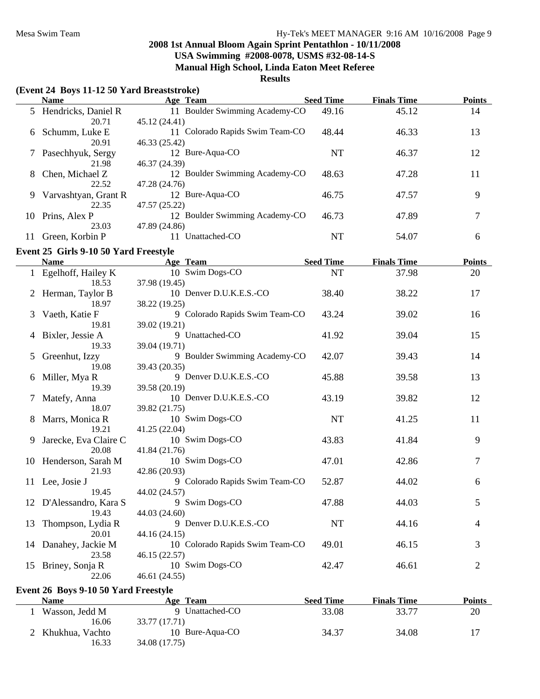#### **Results**

# **(Event 24 Boys 11-12 50 Yard Breaststroke)**

|    | <b>Name</b>           | Age Team                        | <b>Seed Time</b> | <b>Finals Time</b> | <b>Points</b> |
|----|-----------------------|---------------------------------|------------------|--------------------|---------------|
|    | 5 Hendricks, Daniel R | 11 Boulder Swimming Academy-CO  | 49.16            | 45.12              | 14            |
|    | 20.71                 | 45.12 (24.41)                   |                  |                    |               |
| 6  | Schumm, Luke E        | 11 Colorado Rapids Swim Team-CO | 48.44            | 46.33              | 13            |
|    | 20.91                 | 46.33 (25.42)                   |                  |                    |               |
|    | Pasechhyuk, Sergy     | 12 Bure-Aqua-CO                 | NT               | 46.37              | 12            |
|    | 21.98                 | 46.37 (24.39)                   |                  |                    |               |
| 8  | Chen, Michael Z       | 12 Boulder Swimming Academy-CO  | 48.63            | 47.28              | 11            |
|    | 22.52                 | 47.28 (24.76)                   |                  |                    |               |
| 9  | Varvashtyan, Grant R  | 12 Bure-Aqua-CO                 | 46.75            | 47.57              | 9             |
|    | 22.35                 | 47.57 (25.22)                   |                  |                    |               |
| 10 | Prins, Alex P         | 12 Boulder Swimming Academy-CO  | 46.73            | 47.89              |               |
|    | 23.03                 | 47.89 (24.86)                   |                  |                    |               |
|    | Green, Korbin P       | Unattached-CO                   | NT               | 54.07              | 6             |

#### **Event 25 Girls 9-10 50 Yard Freestyle**

|    | <b>Name</b>             | Age Team                        | <b>Seed Time</b> | <b>Finals Time</b> | <b>Points</b>  |
|----|-------------------------|---------------------------------|------------------|--------------------|----------------|
|    | 1 Egelhoff, Hailey K    | 10 Swim Dogs-CO                 | <b>NT</b>        | 37.98              | 20             |
|    | 18.53                   | 37.98 (19.45)                   |                  |                    |                |
|    | Herman, Taylor B        | 10 Denver D.U.K.E.S.-CO         | 38.40            | 38.22              | 17             |
|    | 18.97                   | 38.22 (19.25)                   |                  |                    |                |
| 3  | Vaeth, Katie F          | 9 Colorado Rapids Swim Team-CO  | 43.24            | 39.02              | 16             |
|    | 19.81                   | 39.02 (19.21)                   |                  |                    |                |
|    | 4 Bixler, Jessie A      | 9 Unattached-CO                 | 41.92            | 39.04              | 15             |
|    | 19.33                   | 39.04 (19.71)                   |                  |                    |                |
|    | 5 Greenhut, Izzy        | 9 Boulder Swimming Academy-CO   | 42.07            | 39.43              | 14             |
|    | 19.08                   | 39.43 (20.35)                   |                  |                    |                |
| 6  | Miller, Mya R           | 9 Denver D.U.K.E.S.-CO          | 45.88            | 39.58              | 13             |
|    | 19.39                   | 39.58 (20.19)                   |                  |                    |                |
|    | 7 Matefy, Anna          | 10 Denver D.U.K.E.S.-CO         | 43.19            | 39.82              | 12             |
|    | 18.07                   | 39.82 (21.75)                   |                  |                    |                |
| 8  | Marrs, Monica R         | 10 Swim Dogs-CO                 | <b>NT</b>        | 41.25              | 11             |
|    | 19.21                   | 41.25 (22.04)                   |                  |                    |                |
| 9  | Jarecke, Eva Claire C   | 10 Swim Dogs-CO                 | 43.83            | 41.84              | 9              |
|    | 20.08                   | 41.84 (21.76)                   |                  |                    |                |
| 10 | Henderson, Sarah M      | 10 Swim Dogs-CO                 | 47.01            | 42.86              | $\overline{7}$ |
|    | 21.93                   | 42.86 (20.93)                   |                  |                    |                |
| 11 | Lee, Josie J            | 9 Colorado Rapids Swim Team-CO  | 52.87            | 44.02              | 6              |
|    | 19.45                   | 44.02 (24.57)                   |                  |                    |                |
|    | 12 D'Alessandro, Kara S | 9 Swim Dogs-CO                  | 47.88            | 44.03              | 5              |
|    | 19.43                   | 44.03 (24.60)                   |                  |                    |                |
| 13 | Thompson, Lydia R       | 9 Denver D.U.K.E.S.-CO          | <b>NT</b>        | 44.16              | 4              |
|    | 20.01                   | 44.16 (24.15)                   |                  |                    |                |
|    | 14 Danahey, Jackie M    | 10 Colorado Rapids Swim Team-CO | 49.01            | 46.15              | 3              |
|    | 23.58                   | 46.15 (22.57)                   |                  |                    |                |
| 15 | Briney, Sonja R         | 10 Swim Dogs-CO                 | 42.47            | 46.61              | $\overline{2}$ |
|    | 22.06                   | 46.61 (24.55)                   |                  |                    |                |

# **Event 26 Boys 9-10 50 Yard Freestyle**

| Name              | Age Team        | <b>Seed Time</b> | <b>Finals Time</b> | <b>Points</b> |
|-------------------|-----------------|------------------|--------------------|---------------|
| Wasson, Jedd M    | Unattached-CO   | 33.08            | 33.77              | 20            |
| 16.06             | 33.77 (17.71)   |                  |                    |               |
| 2 Khukhua, Vachto | 10 Bure-Aqua-CO | 34.37            | 34.08              |               |
| 16.33             | 34.08 (17.75)   |                  |                    |               |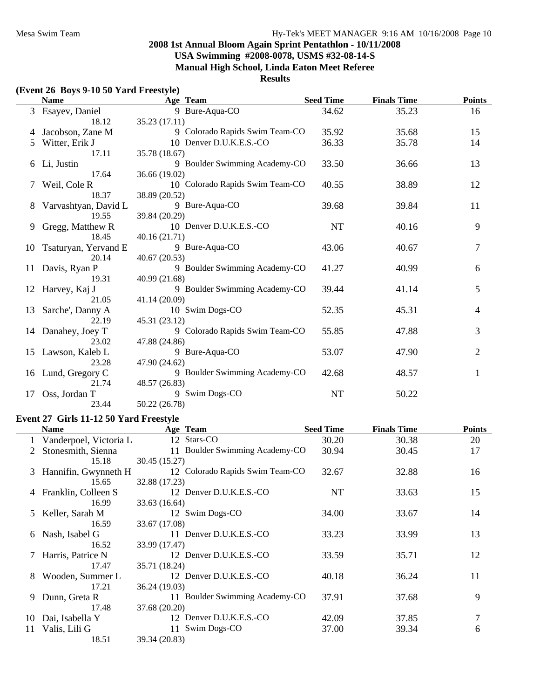**USA Swimming #2008-0078, USMS #32-08-14-S**

**Manual High School, Linda Eaton Meet Referee**

#### **Results**

#### **(Event 26 Boys 9-10 50 Yard Freestyle) Name Team Finals Time Age Seed Time Points** 3 Esayev, Daniel 9 Bure-Aqua-CO 34.62 35.23 16 18.12 35.23 (17.11) 4 Jacobson, Zane M 35.68 15 9 Colorado Rapids Swim Team-CO 35.92 5 Witter, Erik J 35.78 14 10 Denver D.U.K.E.S.-CO 36.33 35.78 35.78 17.11 35.78 (18.67) 6 Li, Justin 9 Boulder Swimming Academy-CO 33.50 36.66 13 17.64 36.66 (19.02) 7 Weil, Cole R 10 Colorado Rapids Swim Team-CO 40.55 38.89 38.89 12 18.37 38.89 (20.52) 8 Varvashtyan, David L 39 Bure-Aqua-CO 39.68 39.84 11 19.55 39.84 (20.29) 9 Gregg, Matthew R 10 Denver D.U.K.E.S.-CO NT 40.16 9 18.45 40.16 (21.71) 10 Tsaturyan, Yervand E 9 Bure-Aqua-CO 43.06 40.67 7 20.14 40.67 (20.53) 11 Davis, Ryan P 40.99 9 Boulder Swimming Academy-CO 41.27 40.99 6 19.31 40.99 (21.68) 12 Harvey, Kaj J 41.14 5 9 Boulder Swimming Academy-CO 39.44 41.14 5 21.05 41.14 (20.09) 13 Sarche', Danny A 10 Swim Dogs-CO 52.35 45.31 4 22.19 45.31 (23.12) 14 Danahey, Joey T 9 Colorado Rapids Swim Team-CO 55.85 47.88 3 23.02 47.88 (24.86) 15 Lawson, Kaleb L 9 Bure-Aqua-CO 53.07 47.90 2 23.28 47.90 (24.62) 16 Lund, Gregory C 9 Boulder Swimming Academy-CO 42.68 48.57 1 21.74 48.57 (26.83) 17 Oss, Jordan T 9 Swim Dogs-CO NT 50.22 23.44 50.22 (26.78)

#### **Event 27 Girls 11-12 50 Yard Freestyle**

|    | Name                     | Age Team                        | <b>Seed Time</b> | <b>Finals Time</b> | <b>Points</b> |
|----|--------------------------|---------------------------------|------------------|--------------------|---------------|
|    | 1 Vanderpoel, Victoria L | 12 Stars-CO                     | 30.20            | 30.38              | 20            |
| 2  | Stonesmith, Sienna       | 11 Boulder Swimming Academy-CO  | 30.94            | 30.45              | 17            |
|    | 15.18                    | 30.45 (15.27)                   |                  |                    |               |
|    | 3 Hannifin, Gwynneth H   | 12 Colorado Rapids Swim Team-CO | 32.67            | 32.88              | 16            |
|    | 15.65                    | 32.88 (17.23)                   |                  |                    |               |
|    | 4 Franklin, Colleen S    | 12 Denver D.U.K.E.S.-CO         | NT               | 33.63              | 15            |
|    | 16.99                    | 33.63 (16.64)                   |                  |                    |               |
| 5  | Keller, Sarah M          | 12 Swim Dogs-CO                 | 34.00            | 33.67              | 14            |
|    | 16.59                    | 33.67 (17.08)                   |                  |                    |               |
| 6  | Nash, Isabel G           | 11 Denver D.U.K.E.S.-CO         | 33.23            | 33.99              | 13            |
|    | 16.52                    | 33.99 (17.47)                   |                  |                    |               |
|    | 7 Harris, Patrice N      | 12 Denver D.U.K.E.S.-CO         | 33.59            | 35.71              | 12            |
|    | 17.47                    | 35.71 (18.24)                   |                  |                    |               |
| 8  | Wooden, Summer L         | 12 Denver D.U.K.E.S.-CO         | 40.18            | 36.24              | 11            |
|    | 17.21                    | 36.24 (19.03)                   |                  |                    |               |
| 9  | Dunn, Greta R            | 11 Boulder Swimming Academy-CO  | 37.91            | 37.68              | 9             |
|    | 17.48                    | 37.68 (20.20)                   |                  |                    |               |
| 10 | Dai, Isabella Y          | 12 Denver D.U.K.E.S.-CO         | 42.09            | 37.85              | 7             |
| 11 | Valis, Lili G            | 11 Swim Dogs-CO                 | 37.00            | 39.34              | 6             |
|    | 18.51                    | 39.34 (20.83)                   |                  |                    |               |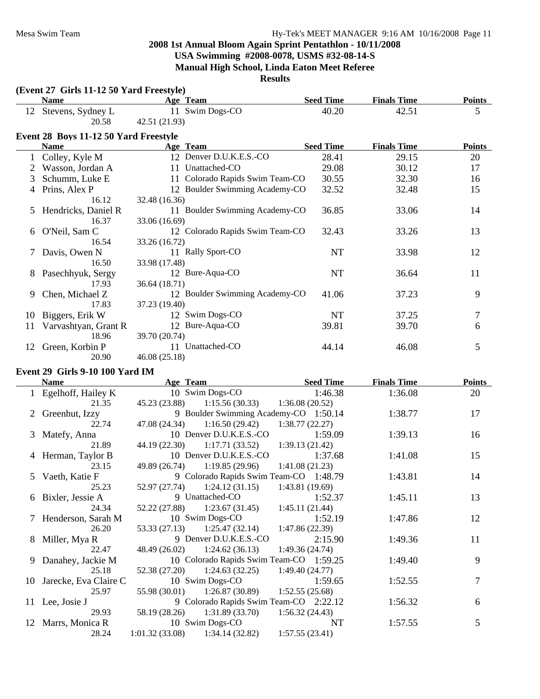# **2008 1st Annual Bloom Again Sprint Pentathlon - 10/11/2008 USA Swimming #2008-0078, USMS #32-08-14-S**

**Manual High School, Linda Eaton Meet Referee**

|    | (Event 27 Girls 11-12 50 Yard Freestyle)<br><b>Name</b> | Age Team                        | <b>Seed Time</b> | <b>Finals Time</b> | <b>Points</b> |
|----|---------------------------------------------------------|---------------------------------|------------------|--------------------|---------------|
|    |                                                         | 11 Swim Dogs-CO                 | 40.20            | 42.51              | 5             |
| 12 | Stevens, Sydney L<br>20.58                              | 42.51 (21.93)                   |                  |                    |               |
|    |                                                         |                                 |                  |                    |               |
|    | Event 28 Boys 11-12 50 Yard Freestyle                   |                                 |                  |                    |               |
|    | <b>Name</b>                                             | Age Team                        | <b>Seed Time</b> | <b>Finals Time</b> | <b>Points</b> |
|    | Colley, Kyle M                                          | 12 Denver D.U.K.E.S.-CO         | 28.41            | 29.15              | 20            |
|    | Wasson, Jordan A                                        | 11 Unattached-CO                | 29.08            | 30.12              | 17            |
| 3  | Schumm, Luke E                                          | 11 Colorado Rapids Swim Team-CO | 30.55            | 32.30              | 16            |
| 4  | Prins, Alex P                                           | 12 Boulder Swimming Academy-CO  | 32.52            | 32.48              | 15            |
|    | 16.12                                                   | 32.48 (16.36)                   |                  |                    |               |
| 5  | Hendricks, Daniel R                                     | 11 Boulder Swimming Academy-CO  | 36.85            | 33.06              | 14            |
|    | 16.37                                                   | 33.06 (16.69)                   |                  |                    |               |
| 6  | O'Neil, Sam C                                           | 12 Colorado Rapids Swim Team-CO | 32.43            | 33.26              | 13            |
|    | 16.54                                                   | 33.26 (16.72)                   |                  |                    |               |
|    | Davis, Owen N                                           | 11 Rally Sport-CO               | NT               | 33.98              | 12            |
|    | 16.50                                                   | 33.98 (17.48)                   |                  |                    |               |
| 8  | Pasechhyuk, Sergy                                       | 12 Bure-Aqua-CO                 | NT               | 36.64              | 11            |
|    | 17.93                                                   | 36.64 (18.71)                   |                  |                    |               |
| 9  | Chen, Michael Z                                         | 12 Boulder Swimming Academy-CO  | 41.06            | 37.23              | 9             |
|    | 17.83                                                   | 37.23 (19.40)                   |                  |                    |               |
| 10 | Biggers, Erik W                                         | 12 Swim Dogs-CO                 | <b>NT</b>        | 37.25              | $\tau$        |
| 11 | Varvashtyan, Grant R                                    | 12 Bure-Aqua-CO                 | 39.81            | 39.70              | 6             |
|    | 18.96                                                   | 39.70 (20.74)                   |                  |                    |               |
| 12 | Green, Korbin P                                         | 11 Unattached-CO                | 44.14            | 46.08              | 5             |
|    | 20.90                                                   | 46.08(25.18)                    |                  |                    |               |
|    | Event 29 Girls 9-10 100 Yard IM                         |                                 |                  |                    |               |
|    | <b>Name</b>                                             | Age Team                        | <b>Seed Time</b> | <b>Finals Time</b> | <b>Points</b> |
|    | Egelhoff, Hailey K                                      | 10 Swim Dogs-CO                 | 1:46.38          | 1:36.08            | 20            |
|    |                                                         |                                 |                  |                    |               |

| 1 Egelhoff, Hailey K     |                                                    | 10 Swim Dogs-CO 1:46.38                 | 1:36.08 | 20 |
|--------------------------|----------------------------------------------------|-----------------------------------------|---------|----|
| 21.35                    | $45.23(23.88)$ 1:15.56 (30.33)                     | 1:36.08(20.52)                          |         |    |
| 2 Greenhut, Izzy         |                                                    | 9 Boulder Swimming Academy-CO 1:50.14   | 1:38.77 | 17 |
| 22.74                    | 47.08 (24.34) 1:16.50 (29.42) 1:38.77 (22.27)      |                                         |         |    |
| 3 Matefy, Anna           | 10 Denver D.U.K.E.S.-CO                            | 1:59.09                                 | 1:39.13 | 16 |
| 21.89                    | 44.19 (22.30) 1:17.71 (33.52) 1:39.13 (21.42)      |                                         |         |    |
| 4 Herman, Taylor B       | 10 Denver D.U.K.E.S.-CO                            | 1:37.68                                 | 1:41.08 | 15 |
| 23.15                    | $49.89(26.74)$ 1:19.85 (29.96)                     | 1:41.08(21.23)                          |         |    |
| 5 Vaeth, Katie F         |                                                    | 9 Colorado Rapids Swim Team-CO 1:48.79  | 1:43.81 | 14 |
| 25.23                    | $52.97(27.74)$ $1:24.12(31.15)$                    | 1:43.81(19.69)                          |         |    |
| 6 Bixler, Jessie A       | 9 Unattached-CO                                    | 1:52.37                                 | 1:45.11 | 13 |
| 24.34                    | $52.22(27.88)$ $1:23.67(31.45)$ $1:45.11(21.44)$   |                                         |         |    |
| 7 Henderson, Sarah M     | 10 Swim Dogs-CO                                    | 1:52.19                                 | 1:47.86 | 12 |
| 26.20                    | $53.33(27.13)$ $1:25.47(32.14)$ $1:47.86(22.39)$   |                                         |         |    |
| 8 Miller, Mya R          | 9 Denver D.U.K.E.S.-CO                             | 2:15.90                                 | 1:49.36 | 11 |
| 22.47                    | $48.49(26.02)$ 1:24.62 (36.13)                     | 1:49.36(24.74)                          |         |    |
| 9 Danahey, Jackie M      |                                                    | 10 Colorado Rapids Swim Team-CO 1:59.25 | 1:49.40 | 9  |
| 25.18                    | $52.38(27.20)$ $1:24.63(32.25)$                    | 1:49.40(24.77)                          |         |    |
| 10 Jarecke, Eva Claire C | 10 Swim Dogs-CO                                    | 1:59.65                                 | 1:52.55 |    |
| 25.97                    | 55.98 (30.01) 1:26.87 (30.89) 1:52.55 (25.68)      |                                         |         |    |
| 11 Lee, Josie J          |                                                    | 9 Colorado Rapids Swim Team-CO 2:22.12  | 1:56.32 | 6  |
| 29.93                    | 58.19 (28.26) 1:31.89 (33.70) 1:56.32 (24.43)      |                                         |         |    |
| 12 Marrs, Monica R       | 10 Swim Dogs-CO                                    | NT                                      | 1:57.55 | 5  |
| 28.24                    | $1:01.32(33.08)$ $1:34.14(32.82)$ $1:57.55(23.41)$ |                                         |         |    |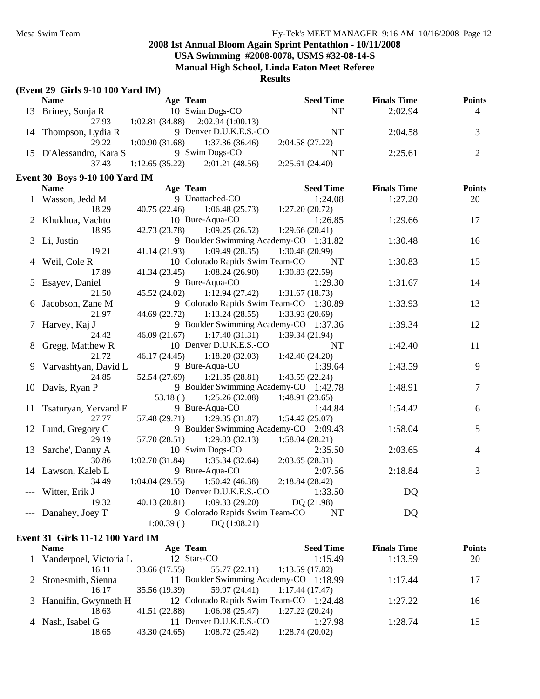**Results**

|   | (Event 29 Girls 9-10 100 Yard IM)     |                                     |                                               |                                        |                    |                |
|---|---------------------------------------|-------------------------------------|-----------------------------------------------|----------------------------------------|--------------------|----------------|
|   | <b>Name</b>                           | <b>Example 2</b> Age Team           |                                               | <b>Seed Time</b>                       | <b>Finals Time</b> | <b>Points</b>  |
|   | 13 Briney, Sonja R                    |                                     | 10 Swim Dogs-CO                               | NT                                     | 2:02.94            | $\overline{4}$ |
|   | 27.93                                 | $1:02.81(34.88)$ $2:02.94(1:00.13)$ |                                               |                                        |                    |                |
|   | 14 Thompson, Lydia R                  |                                     | 9 Denver D.U.K.E.S.-CO                        | <b>NT</b>                              | 2:04.58            | $\overline{3}$ |
|   | 29.22                                 | $1:00.90(31.68)$ $1:37.36(36.46)$   |                                               | 2:04.58(27.22)                         |                    |                |
|   | 15 D'Alessandro, Kara S               |                                     | 9 Swim Dogs-CO                                | <b>NT</b>                              | 2:25.61            | $\overline{2}$ |
|   | 37.43                                 | $1:12.65(35.22)$ $2:01.21(48.56)$   |                                               | 2:25.61(24.40)                         |                    |                |
|   | <b>Event 30 Boys 9-10 100 Yard IM</b> |                                     |                                               |                                        |                    |                |
|   | <b>Name</b>                           | Age Team                            |                                               | <b>Seed Time</b>                       | <b>Finals Time</b> | <b>Points</b>  |
|   | 1 Wasson, Jedd M                      |                                     | 9 Unattached-CO                               | 1:24.08                                | 1:27.20            | 20             |
|   | 18.29                                 |                                     | $40.75(22.46)$ 1:06.48 (25.73)                | 1:27.20(20.72)                         |                    |                |
|   | 2 Khukhua, Vachto                     |                                     | 10 Bure-Aqua-CO                               | 1:26.85                                | 1:29.66            | 17             |
|   | 18.95                                 |                                     | 42.73 (23.78) 1:09.25 (26.52)                 | 1:29.66(20.41)                         |                    |                |
|   | 3 Li, Justin                          |                                     |                                               | 9 Boulder Swimming Academy-CO 1:31.82  | 1:30.48            | 16             |
|   | 19.21                                 |                                     | $41.14(21.93)$ $1:09.49(28.35)$               | 1:30.48(20.99)                         |                    |                |
|   | Weil, Cole R                          |                                     | 10 Colorado Rapids Swim Team-CO               | NT                                     | 1:30.83            | 15             |
|   | 17.89                                 | 41.34(23.45)                        |                                               | $1:08.24(26.90)$ $1:30.83(22.59)$      |                    |                |
| 5 | Esayev, Daniel                        |                                     | 9 Bure-Aqua-CO                                | 1:29.30                                | 1:31.67            | 14             |
|   | 21.50                                 |                                     | 45.52 (24.02) 1:12.94 (27.42) 1:31.67 (18.73) |                                        |                    |                |
| 6 | Jacobson, Zane M                      |                                     |                                               | 9 Colorado Rapids Swim Team-CO 1:30.89 | 1:33.93            | 13             |
|   | 21.97                                 |                                     | 44.69 (22.72) 1:13.24 (28.55)                 | 1:33.93(20.69)                         |                    |                |
| 7 | Harvey, Kaj J                         |                                     |                                               | 9 Boulder Swimming Academy-CO 1:37.36  | 1:39.34            | 12             |
|   | 24.42                                 | 46.09(21.67)                        | 1:17.40(31.31)                                | 1:39.34(21.94)                         |                    |                |
|   | 8 Gregg, Matthew R                    |                                     | 10 Denver D.U.K.E.S.-CO                       | <b>NT</b>                              | 1:42.40            | 11             |
|   | 21.72                                 |                                     | $46.17(24.45)$ 1:18.20(32.03)                 | 1:42.40(24.20)                         |                    |                |
|   | 9 Varvashtyan, David L                |                                     | 9 Bure-Aqua-CO                                | 1:39.64                                | 1:43.59            | 9              |
|   | 24.85                                 |                                     | $52.54(27.69)$ $1:21.35(28.81)$               | 1:43.59(22.24)                         |                    |                |
|   | 10 Davis, Ryan P                      |                                     |                                               | 9 Boulder Swimming Academy-CO 1:42.78  | 1:48.91            | $\overline{7}$ |
|   |                                       | 53.18()                             |                                               | $1:25.26(32.08)$ $1:48.91(23.65)$      |                    |                |
|   | 11 Tsaturyan, Yervand E               |                                     | 9 Bure-Aqua-CO                                | 1:44.84                                | 1:54.42            | 6              |
|   | 27.77                                 |                                     | $57.48(29.71)$ 1:29.35 (31.87)                | 1:54.42(25.07)                         |                    |                |
|   | 12 Lund, Gregory C                    |                                     |                                               | 9 Boulder Swimming Academy-CO 2:09.43  | 1:58.04            | 5              |
|   | 29.19                                 |                                     | $57.70(28.51)$ 1:29.83 (32.13)                | 1:58.04(28.21)                         |                    |                |

#### **Event 31 Girls 11-12 100 Yard IM**

| <b>Name</b>              | Age Team                                                       |                                        | <b>Seed Time</b> | <b>Finals Time</b> | <b>Points</b> |
|--------------------------|----------------------------------------------------------------|----------------------------------------|------------------|--------------------|---------------|
| 1 Vanderpoel, Victoria L | 12 Stars-CO                                                    |                                        | 1:15.49          | 1:13.59            | 20            |
| 16.11                    | $33.66(17.55)$ $55.77(22.11)$                                  | 1:13.59 (17.82)                        |                  |                    |               |
| 2 Stonesmith, Sienna     |                                                                | 11 Boulder Swimming Academy-CO 1:18.99 |                  | 1:17.44            | 17            |
| 16.17                    | 35.56 (19.39) 59.97 (24.41) 1:17.44 (17.47)                    |                                        |                  |                    |               |
|                          | 3 Hannifin, Gwynneth H 12 Colorado Rapids Swim Team-CO 1:24.48 |                                        |                  | 1:27.22            | 16            |
| 18.63                    | 41.51 (22.88)                                                  | $1:06.98(25.47)$ $1:27.22(20.24)$      |                  |                    |               |
| 4 Nash, Isabel G         | 11 Denver D.U.K.E.S.-CO                                        |                                        | 1:27.98          | 1:28.74            | 15            |
| 18.65                    | 43.30 (24.65)                                                  | 1:28.74(20.02)<br>1:08.72(25.42)       |                  |                    |               |

13 Sarche', Danny A 10 Swim Dogs-CO 2:35.50 2:03.65 4

14 Lawson, Kaleb L 9 Bure-Aqua-CO 2:07.56 2:18.84 3

30.86 1:02.70 (31.84) 1:35.34 (32.64) 2:03.65 (28.31)

34.49 1:04.04 (29.55) 1:50.42 (46.38) 2:18.84 (28.42) --- Witter, Erik J 10 Denver D.U.K.E.S.-CO 1:33.50 DQ 19.32 40.13 (20.81) 1:09.33 (29.20) DQ (21.98) --- Danahey, Joey T 9 Colorado Rapids Swim Team-CO NT DQ

1:00.39 ( ) DQ (1:08.21)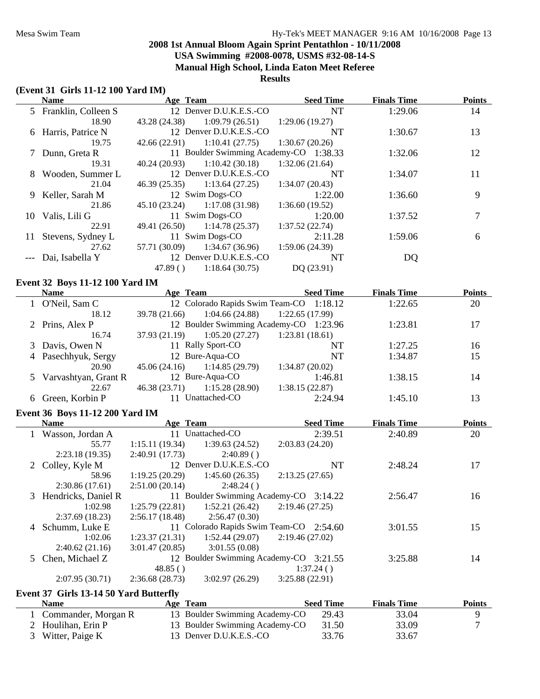#### **(Event 31 Girls 11-12 100 Yard IM)**

|    | <b>Name</b>           | Age Team      |                                        | <b>Seed Time</b> | <b>Finals Time</b> | <b>Points</b> |
|----|-----------------------|---------------|----------------------------------------|------------------|--------------------|---------------|
|    | 5 Franklin, Colleen S |               | 12 Denver D.U.K.E.S.-CO                | <b>NT</b>        | 1:29.06            | 14            |
|    | 18.90                 | 43.28 (24.38) | 1:09.79(26.51)                         | 1:29.06(19.27)   |                    |               |
|    | 6 Harris, Patrice N   |               | 12 Denver D.U.K.E.S.-CO                | NT               | 1:30.67            | 13            |
|    | 19.75                 | 42.66 (22.91) | 1:10.41(27.75)                         | 1:30.67(20.26)   |                    |               |
|    | 7 Dunn, Greta R       |               | 11 Boulder Swimming Academy-CO 1:38.33 |                  | 1:32.06            | 12            |
|    | 19.31                 | 40.24 (20.93) | 1:10.42(30.18)                         | 1:32.06(21.64)   |                    |               |
|    | 8 Wooden, Summer L    |               | 12 Denver D.U.K.E.S.-CO                | <b>NT</b>        | 1:34.07            | 11            |
|    | 21.04                 |               | $46.39(25.35)$ 1:13.64 (27.25)         | 1:34.07(20.43)   |                    |               |
|    | 9 Keller, Sarah M     |               | 12 Swim Dogs-CO                        | 1:22.00          | 1:36.60            | 9             |
|    | 21.86                 |               | $45.10(23.24)$ $1:17.08(31.98)$        | 1:36.60(19.52)   |                    |               |
| 10 | Valis, Lili G         |               | 11 Swim Dogs-CO                        | 1:20.00          | 1:37.52            |               |
|    | 22.91                 |               | $49.41(26.50)$ 1:14.78 (25.37)         | 1:37.52(22.74)   |                    |               |
| 11 | Stevens, Sydney L     |               | 11 Swim Dogs-CO                        | 2:11.28          | 1:59.06            | 6             |
|    | 27.62                 | 57.71 (30.09) | 1:34.67(36.96)                         | 1:59.06(24.39)   |                    |               |
|    | Dai, Isabella Y       |               | 12 Denver D.U.K.E.S.-CO                | NT               | DQ                 |               |
|    |                       | 47.89()       | 1:18.64(30.75)                         | DQ(23.91)        |                    |               |

### **Event 32 Boys 11-12 100 Yard IM**

| <b>Name</b>            | Age Team      |                   | <b>Seed Time</b>                        | <b>Finals Time</b> | <b>Points</b> |
|------------------------|---------------|-------------------|-----------------------------------------|--------------------|---------------|
| O'Neil, Sam C          |               |                   | 12 Colorado Rapids Swim Team-CO 1:18.12 | 1:22.65            | 20            |
| 18.12                  | 39.78 (21.66) | 1:04.66(24.88)    | 1:22.65(17.99)                          |                    |               |
| 2 Prins, Alex P        |               |                   | 12 Boulder Swimming Academy-CO 1:23.96  | 1:23.81            | 17            |
| 16.74                  | 37.93 (21.19) | 1:05.20(27.27)    | 1:23.81(18.61)                          |                    |               |
| 3 Davis, Owen N        |               | 11 Rally Sport-CO | NT                                      | 1:27.25            | 16            |
| 4 Pasechhyuk, Sergy    |               | 12 Bure-Aqua-CO   | NT                                      | 1:34.87            | 15            |
| 20.90                  | 45.06 (24.16) | 1:14.85(29.79)    | 1:34.87(20.02)                          |                    |               |
| 5 Varvashtyan, Grant R |               | 12 Bure-Aqua-CO   | 1:46.81                                 | 1:38.15            | 14            |
| 22.67                  | 46.38 (23.71) | 1:15.28(28.90)    | 1:38.15(22.87)                          |                    |               |
| Green, Korbin P        |               | Unattached-CO     | 2:24.94                                 | 1:45.10            | 13            |

#### **Event 36 Boys 11-12 200 Yard IM**

|   | <b>Name</b>           | Age Team       |                         | <b>Seed Time</b>                        | <b>Finals Time</b> | <b>Points</b> |
|---|-----------------------|----------------|-------------------------|-----------------------------------------|--------------------|---------------|
|   | Wasson, Jordan A      | 11             | Unattached-CO           | 2:39.51                                 | 2:40.89            | 20            |
|   | 55.77                 | 1:15.11(19.34) | 1:39.63(24.52)          | 2:03.83(24.20)                          |                    |               |
|   | 2:23.18(19.35)        | 2:40.91(17.73) | 2:40.89()               |                                         |                    |               |
|   | 2 Colley, Kyle M      |                | 12 Denver D.U.K.E.S.-CO | <b>NT</b>                               | 2:48.24            | 17            |
|   | 58.96                 | 1:19.25(20.29) | 1:45.60(26.35)          | 2:13.25(27.65)                          |                    |               |
|   | 2:30.86(17.61)        | 2:51.00(20.14) | 2:48.24()               |                                         |                    |               |
|   | 3 Hendricks, Daniel R |                |                         | 11 Boulder Swimming Academy-CO 3:14.22  | 2:56.47            | 16            |
|   | 1:02.98               | 1:25.79(22.81) | 1:52.21(26.42)          | 2:19.46(27.25)                          |                    |               |
|   | 2:37.69(18.23)        | 2:56.17(18.48) | 2:56.47(0.30)           |                                         |                    |               |
| 4 | Schumm, Luke E        |                |                         | 11 Colorado Rapids Swim Team-CO 2:54.60 | 3:01.55            | 15            |
|   | 1:02.06               | 1:23.37(21.31) | 1:52.44(29.07)          | 2:19.46(27.02)                          |                    |               |
|   | 2:40.62(21.16)        | 3:01.47(20.85) | 3:01.55(0.08)           |                                         |                    |               |
|   | Chen, Michael Z       |                |                         | 12 Boulder Swimming Academy-CO 3:21.55  | 3:25.88            | 14            |
|   |                       | 48.85()        |                         | 1:37.24()                               |                    |               |
|   | 2:07.95(30.71)        | 2:36.68(28.73) | 3:02.97(26.29)          | 3:25.88(22.91)                          |                    |               |

#### **Event 37 Girls 13-14 50 Yard Butterfly**

| Name                | Age Team                       | <b>Seed Time</b> | <b>Finals Time</b> | <b>Points</b> |
|---------------------|--------------------------------|------------------|--------------------|---------------|
| Commander, Morgan R | 13 Boulder Swimming Academy-CO | 29.43            | 33.04              |               |
| 2 Houlihan, Erin P  | 13 Boulder Swimming Academy-CO | 31.50            | 33.09              |               |
| 3 Witter, Paige K   | 13 Denver D.U.K.E.S.-CO        | 33.76            | 33.67              |               |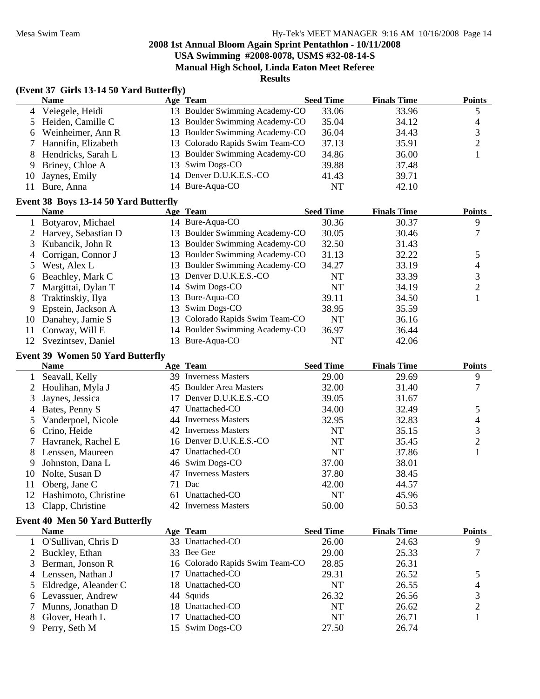**USA Swimming #2008-0078, USMS #32-08-14-S**

**Manual High School, Linda Eaton Meet Referee**

**Results**

|    | (Event 37 Girls 13-14 50 Yard Butterfly) |    |                                |                  |                    |               |
|----|------------------------------------------|----|--------------------------------|------------------|--------------------|---------------|
|    | <b>Name</b>                              |    | Age Team                       | <b>Seed Time</b> | <b>Finals Time</b> | <b>Points</b> |
|    | Veiegele, Heidi                          |    | 13 Boulder Swimming Academy-CO | 33.06            | 33.96              | 5             |
|    | Heiden, Camille C                        | 13 | Boulder Swimming Academy-CO    | 35.04            | 34.12              | 4             |
| 6  | Weinheimer, Ann R                        | 13 | Boulder Swimming Academy-CO    | 36.04            | 34.43              | 3             |
|    | Hannifin, Elizabeth                      | 13 | Colorado Rapids Swim Team-CO   | 37.13            | 35.91              | 2             |
| 8  | Hendricks, Sarah L                       | 13 | Boulder Swimming Academy-CO    | 34.86            | 36.00              |               |
| 9  | Briney, Chloe A                          | 13 | Swim Dogs-CO                   | 39.88            | 37.48              |               |
| 10 | Jaynes, Emily                            | 14 | Denver D.U.K.E.S.-CO           | 41.43            | 39.71              |               |
| 11 | Bure, Anna                               |    | 14 Bure-Aqua-CO                | NT               | 42.10              |               |
|    | Event 38 Boys 13-14 50 Yard Butterfly    |    |                                |                  |                    |               |
|    | <b>Name</b>                              |    | Age Team                       | <b>Seed Time</b> | <b>Finals Time</b> | <b>Points</b> |
|    | Botyarov, Michael                        |    | 14 Bure-Aqua-CO                | 30.36            | 30.37              | 9             |
|    | Harvey, Sebastian D                      | 13 | Boulder Swimming Academy-CO    | 30.05            | 30.46              | 7             |
| 3  | Kubancik, John R                         | 13 | Boulder Swimming Academy-CO    | 32.50            | 31.43              |               |
|    | Corrigan, Connor J                       | 13 | Boulder Swimming Academy-CO    | 31.13            | 32.22              | 5             |
|    | West, Alex L                             | 13 | Boulder Swimming Academy-CO    | 34.27            | 33.19              | 4             |
| 6  | Beachley, Mark C                         | 13 | Denver D.U.K.E.S.-CO           | NT               | 33.39              | 3             |
|    | Margittai, Dylan T                       | 14 | Swim Dogs-CO                   | NT               | 34.19              | 2             |
| 8  | Traktinskiy, Ilya                        | 13 | Bure-Aqua-CO                   | 39.11            | 34.50              |               |
|    |                                          |    |                                |                  |                    |               |

|    | гуание                |     | дее теаш                        | Seed Thile | гшать типе | г ошь |
|----|-----------------------|-----|---------------------------------|------------|------------|-------|
|    | 1 Botyarov, Michael   |     | 14 Bure-Aqua-CO                 | 30.36      | 30.37      | 9     |
|    | 2 Harvey, Sebastian D | 13. | Boulder Swimming Academy-CO     | 30.05      | 30.46      |       |
|    | 3 Kubancik, John R    |     | 13 Boulder Swimming Academy-CO  | 32.50      | 31.43      |       |
|    | 4 Corrigan, Connor J  |     | 13 Boulder Swimming Academy-CO  | 31.13      | 32.22      |       |
|    | 5 West, Alex L        |     | 13 Boulder Swimming Academy-CO  | 34.27      | 33.19      | 4     |
|    | 6 Beachley, Mark C    |     | 13 Denver D.U.K.E.S.-CO         | NT         | 33.39      |       |
|    | Margittai, Dylan T    |     | 14 Swim Dogs-CO                 | NT         | 34.19      |       |
| 8  | Traktinskiy, Ilya     |     | 13 Bure-Aqua-CO                 | 39.11      | 34.50      |       |
| 9. | Epstein, Jackson A    |     | 13 Swim Dogs-CO                 | 38.95      | 35.59      |       |
| 10 | Danahey, Jamie S      |     | 13 Colorado Rapids Swim Team-CO | <b>NT</b>  | 36.16      |       |
| 11 | Conway, Will E        |     | 14 Boulder Swimming Academy-CO  | 36.97      | 36.44      |       |
|    | 12 Svezintsev, Daniel |     | 13 Bure-Aqua-CO                 | NT         | 42.06      |       |

#### **Event 39 Women 50 Yard Butterfly**

|    | <b>Name</b>                           |    | Age Team                        | <b>Seed Time</b> | <b>Finals Time</b> | <b>Points</b>  |
|----|---------------------------------------|----|---------------------------------|------------------|--------------------|----------------|
|    | Seavall, Kelly                        |    | 39 Inverness Masters            | 29.00            | 29.69              | 9              |
|    | Houlihan, Myla J                      |    | 45 Boulder Area Masters         | 32.00            | 31.40              | 7              |
| 3  | Jaynes, Jessica                       |    | Denver D.U.K.E.S.-CO            | 39.05            | 31.67              |                |
|    | Bates, Penny S                        | 47 | Unattached-CO                   | 34.00            | 32.49              | 5              |
| 5  | Vanderpoel, Nicole                    | 44 | <b>Inverness Masters</b>        | 32.95            | 32.83              | 4              |
| 6  | Crino, Heide                          | 42 | <b>Inverness Masters</b>        | <b>NT</b>        | 35.15              | 3              |
|    | Havranek, Rachel E                    |    | 16 Denver D.U.K.E.S.-CO         | <b>NT</b>        | 35.45              | $\overline{2}$ |
| 8  | Lenssen, Maureen                      | 47 | Unattached-CO                   | NT               | 37.86              | 1              |
| 9  | Johnston, Dana L                      |    | 46 Swim Dogs-CO                 | 37.00            | 38.01              |                |
| 10 | Nolte, Susan D                        | 47 | <b>Inverness Masters</b>        | 37.80            | 38.45              |                |
| 11 | Oberg, Jane C                         | 71 | Dac                             | 42.00            | 44.57              |                |
| 12 | Hashimoto, Christine                  | 61 | Unattached-CO                   | NT               | 45.96              |                |
| 13 | Clapp, Christine                      |    | 42 Inverness Masters            | 50.00            | 50.53              |                |
|    | <b>Event 40 Men 50 Yard Butterfly</b> |    |                                 |                  |                    |                |
|    | <b>Name</b>                           |    | Age Team                        | <b>Seed Time</b> | <b>Finals Time</b> | <b>Points</b>  |
|    | O'Sullivan, Chris D                   |    | 33 Unattached-CO                | 26.00            | 24.63              | 9              |
|    | Buckley, Ethan                        | 33 | Bee Gee                         | 29.00            | 25.33              | 7              |
| 3  | Berman, Jonson R                      |    | 16 Colorado Rapids Swim Team-CO | 28.85            | 26.31              |                |
| 4  | Lenssen, Nathan J                     | 17 | Unattached-CO                   | 29.31            | 26.52              | 5              |

5 Eldredge, Aleander C 18 Unattached-CO NT 26.55 4 Levassuer, Andrew 26.56 3 44 Squids 26.32 7 Munns, Jonathan D 26.62 2 18 Unattached-CO NT 26.62 2 8 Glover, Heath L 26.71 1 17 Unattached-CO NT 26.71 1 1

9 Perry, Seth M 15 Swim Dogs-CO 27.50 26.74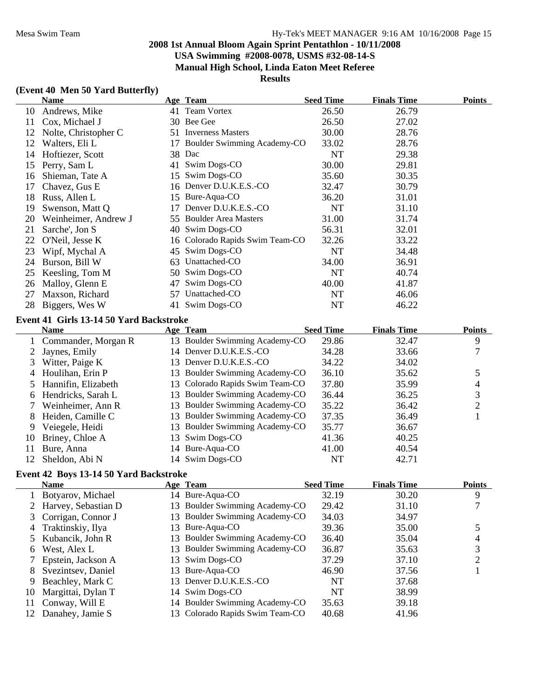#### **Results**

# **(Event 40 Men 50 Yard Butterfly)**

|                     | <b>Name</b>                             |    | Age Team                                   | <b>Seed Time</b> | <b>Finals Time</b> | <b>Points</b>  |
|---------------------|-----------------------------------------|----|--------------------------------------------|------------------|--------------------|----------------|
| 10                  | Andrews, Mike                           |    | 41 Team Vortex                             | 26.50            | 26.79              |                |
| 11                  | Cox, Michael J                          |    | 30 Bee Gee                                 | 26.50            | 27.02              |                |
| 12                  | Nolte, Christopher C                    |    | 51 Inverness Masters                       | 30.00            | 28.76              |                |
| 12                  | Walters, Eli L                          |    | 17 Boulder Swimming Academy-CO             | 33.02            | 28.76              |                |
| 14                  | Hoftiezer, Scott                        |    | 38 Dac                                     | NT               | 29.38              |                |
| 15                  | Perry, Sam L                            |    | 41 Swim Dogs-CO                            | 30.00            | 29.81              |                |
| 16                  | Shieman, Tate A                         |    | 15 Swim Dogs-CO                            | 35.60            | 30.35              |                |
| 17                  | Chavez, Gus E                           |    | 16 Denver D.U.K.E.S.-CO                    | 32.47            | 30.79              |                |
| 18                  | Russ, Allen L                           |    | 15 Bure-Aqua-CO                            | 36.20            | 31.01              |                |
| 19                  | Swenson, Matt Q                         |    | 17 Denver D.U.K.E.S.-CO                    | <b>NT</b>        | 31.10              |                |
| 20                  | Weinheimer, Andrew J                    |    | 55 Boulder Area Masters                    | 31.00            | 31.74              |                |
| 21                  | Sarche', Jon S                          |    | 40 Swim Dogs-CO                            | 56.31            | 32.01              |                |
| 22                  | O'Neil, Jesse K                         |    | 16 Colorado Rapids Swim Team-CO            | 32.26            | 33.22              |                |
| 23                  | Wipf, Mychal A                          |    | 45 Swim Dogs-CO                            | NT               | 34.48              |                |
| 24                  | Burson, Bill W                          |    | 63 Unattached-CO                           | 34.00            | 36.91              |                |
| 25                  | Keesling, Tom M                         |    | 50 Swim Dogs-CO                            | <b>NT</b>        | 40.74              |                |
| 26                  | Malloy, Glenn E                         | 47 | Swim Dogs-CO                               | 40.00            | 41.87              |                |
| 27                  | Maxson, Richard                         | 57 | Unattached-CO                              | <b>NT</b>        | 46.06              |                |
| 28                  | Biggers, Wes W                          |    | 41 Swim Dogs-CO                            | NT               | 46.22              |                |
|                     |                                         |    |                                            |                  |                    |                |
|                     | Event 41 Girls 13-14 50 Yard Backstroke |    |                                            | <b>Seed Time</b> | <b>Finals Time</b> | <b>Points</b>  |
|                     | <b>Name</b>                             |    | Age Team<br>13 Boulder Swimming Academy-CO | 29.86            |                    |                |
| 1<br>$\overline{2}$ | Commander, Morgan R                     |    | 14 Denver D.U.K.E.S.-CO                    | 34.28            | 32.47<br>33.66     | 9<br>$\tau$    |
| 3                   | Jaynes, Emily                           |    | 13 Denver D.U.K.E.S.-CO                    | 34.22            |                    |                |
|                     | Witter, Paige K                         |    | 13 Boulder Swimming Academy-CO             | 36.10            | 34.02              |                |
| 4                   | Houlihan, Erin P                        |    | 13 Colorado Rapids Swim Team-CO            | 37.80            | 35.62              | 5              |
| 5                   | Hannifin, Elizabeth                     |    |                                            |                  | 35.99              | $\overline{4}$ |
| 6                   | Hendricks, Sarah L                      |    | 13 Boulder Swimming Academy-CO             | 36.44            | 36.25              | $\mathfrak{Z}$ |
|                     | Weinheimer, Ann R                       |    | 13 Boulder Swimming Academy-CO             | 35.22            | 36.42              | $\overline{c}$ |
| 8                   | Heiden, Camille C                       |    | 13 Boulder Swimming Academy-CO             | 37.35            | 36.49              | $\mathbf{1}$   |
| 9                   | Veiegele, Heidi                         |    | 13 Boulder Swimming Academy-CO             | 35.77            | 36.67              |                |
| 10                  | Briney, Chloe A                         |    | 13 Swim Dogs-CO                            | 41.36            | 40.25              |                |
| 11                  | Bure, Anna                              |    | 14 Bure-Aqua-CO                            | 41.00            | 40.54              |                |
| 12                  | Sheldon, Abi N                          |    | 14 Swim Dogs-CO                            | NT               | 42.71              |                |
|                     | Event 42 Boys 13-14 50 Yard Backstroke  |    |                                            |                  |                    |                |
|                     | <b>Name</b>                             |    | <b>Age Team</b>                            | <b>Seed Time</b> | <b>Finals Time</b> | <b>Points</b>  |
| $\mathbf{I}$        | Botyarov, Michael<br>$\mathbf{r}$       |    | 14 Bure-Aqua-CO                            | 32.19            | 30.20              | 9              |
| 2                   | Harvey, Sebastian D                     | 13 | Boulder Swimming Academy-CO                | 29.42            | 31.10              | 7              |
| 3                   | Corrigan, Connor J                      | 13 | Boulder Swimming Academy-CO                | 34.03            | 34.97              |                |
| 4                   | Traktinskiy, Ilya                       | 13 | Bure-Aqua-CO                               | 39.36            | 35.00              | 5              |
| 5                   | Kubancik, John R                        | 13 | Boulder Swimming Academy-CO                | 36.40            | 35.04              | 4              |
| 6                   | West, Alex L                            | 13 | Boulder Swimming Academy-CO                | 36.87            | 35.63              | 3              |
| 7                   | Epstein, Jackson A                      | 13 | Swim Dogs-CO                               | 37.29            | 37.10              | $\mathbf{2}$   |
| 8                   | Svezintsev, Daniel                      |    | 13 Bure-Aqua-CO                            | 46.90            | 37.56              | 1              |
| 9                   | Beachley, Mark C                        | 13 | Denver D.U.K.E.S.-CO                       | NT               | 37.68              |                |
| 10                  | Margittai, Dylan T                      |    | 14 Swim Dogs-CO                            | NT               | 38.99              |                |
| 11                  | Conway, Will E                          |    | 14 Boulder Swimming Academy-CO             | 35.63            | 39.18              |                |
| 12                  | Danahey, Jamie S                        | 13 | Colorado Rapids Swim Team-CO               | 40.68            | 41.96              |                |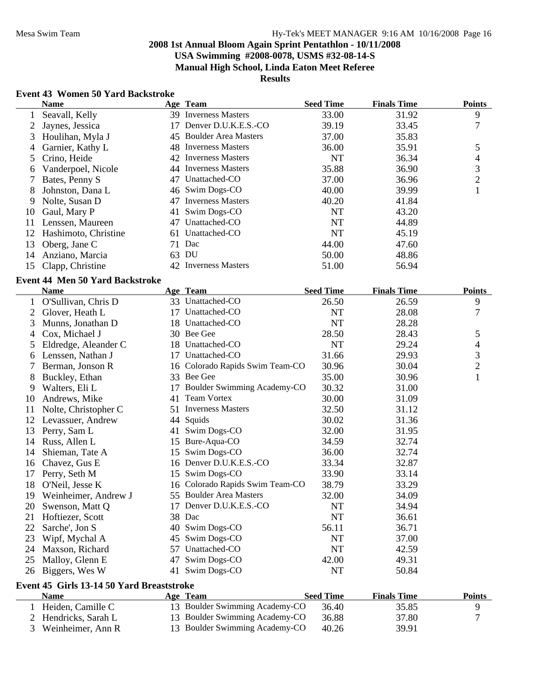**USA Swimming #2008-0078, USMS #32-08-14-S**

**Manual High School, Linda Eaton Meet Referee**

**Results**

# **Event 43 Women 50 Yard Backstroke**

|    | <b>Name</b>                               |    | Age Team                        | <b>Seed Time</b> | <b>Finals Time</b> | <b>Points</b>  |
|----|-------------------------------------------|----|---------------------------------|------------------|--------------------|----------------|
| 1  | Seavall, Kelly                            |    | 39 Inverness Masters            | 33.00            | 31.92              | 9              |
| 2  | Jaynes, Jessica                           |    | 17 Denver D.U.K.E.S.-CO         | 39.19            | 33.45              | 7              |
| 3  | Houlihan, Myla J                          |    | 45 Boulder Area Masters         | 37.00            | 35.83              |                |
| 4  | Garnier, Kathy L                          |    | 48 Inverness Masters            | 36.00            | 35.91              | 5              |
| 5  | Crino, Heide                              |    | 42 Inverness Masters            | <b>NT</b>        | 36.34              | 4              |
| 6  | Vanderpoel, Nicole                        |    | 44 Inverness Masters            | 35.88            | 36.90              | $\mathfrak{Z}$ |
| 7  | Bates, Penny S                            |    | 47 Unattached-CO                | 37.00            | 36.96              | $\overline{c}$ |
| 8  | Johnston, Dana L                          |    | 46 Swim Dogs-CO                 | 40.00            | 39.99              | $\mathbf{1}$   |
| 9  | Nolte, Susan D                            |    | 47 Inverness Masters            | 40.20            | 41.84              |                |
| 10 | Gaul, Mary P                              |    | 41 Swim Dogs-CO                 | <b>NT</b>        | 43.20              |                |
| 11 | Lenssen, Maureen                          |    | 47 Unattached-CO                | NT               | 44.89              |                |
| 12 | Hashimoto, Christine                      |    | 61 Unattached-CO                | <b>NT</b>        | 45.19              |                |
| 13 | Oberg, Jane C                             |    | 71 Dac                          | 44.00            | 47.60              |                |
| 14 | Anziano, Marcia                           |    | 63 DU                           | 50.00            | 48.86              |                |
| 15 | Clapp, Christine                          |    | 42 Inverness Masters            | 51.00            | 56.94              |                |
|    | <b>Event 44 Men 50 Yard Backstroke</b>    |    |                                 |                  |                    |                |
|    | <b>Name</b>                               |    | Age Team                        | <b>Seed Time</b> | <b>Finals Time</b> | <b>Points</b>  |
| 1  | O'Sullivan, Chris D                       |    | 33 Unattached-CO                | 26.50            | 26.59              | 9              |
| 2  | Glover, Heath L                           |    | 17 Unattached-CO                | <b>NT</b>        | 28.08              | 7              |
| 3  | Munns, Jonathan D                         |    | 18 Unattached-CO                | NT               | 28.28              |                |
| 4  | Cox, Michael J                            |    | 30 Bee Gee                      | 28.50            | 28.43              | 5              |
| 5  | Eldredge, Aleander C                      |    | 18 Unattached-CO                | NT               | 29.24              | 4              |
| 6  | Lenssen, Nathan J                         |    | 17 Unattached-CO                | 31.66            | 29.93              | 3              |
| 7  | Berman, Jonson R                          |    | 16 Colorado Rapids Swim Team-CO | 30.96            | 30.04              | $\overline{2}$ |
| 8  | Buckley, Ethan                            |    | 33 Bee Gee                      | 35.00            | 30.96              | $\mathbf{1}$   |
| 9  | Walters, Eli L                            |    | 17 Boulder Swimming Academy-CO  | 30.32            | 31.00              |                |
| 10 | Andrews, Mike                             |    | 41 Team Vortex                  | 30.00            | 31.09              |                |
| 11 | Nolte, Christopher C                      |    | 51 Inverness Masters            | 32.50            | 31.12              |                |
| 12 | Levassuer, Andrew                         |    | 44 Squids                       | 30.02            | 31.36              |                |
| 13 | Perry, Sam L                              | 41 | Swim Dogs-CO                    | 32.00            | 31.95              |                |
| 14 | Russ, Allen L                             |    | 15 Bure-Aqua-CO                 | 34.59            | 32.74              |                |
| 14 | Shieman, Tate A                           | 15 | Swim Dogs-CO                    | 36.00            | 32.74              |                |
| 16 | Chavez, Gus E                             |    | 16 Denver D.U.K.E.S.-CO         | 33.34            | 32.87              |                |
| 17 | Perry, Seth M                             |    | 15 Swim Dogs-CO                 | 33.90            | 33.14              |                |
| 18 | O'Neil, Jesse K                           |    | 16 Colorado Rapids Swim Team-CO | 38.79            | 33.29              |                |
| 19 | Weinheimer, Andrew J                      |    | 55 Boulder Area Masters         | 32.00            | 34.09              |                |
| 20 | Swenson, Matt Q                           | 17 | Denver D.U.K.E.S.-CO            | NT               | 34.94              |                |
| 21 | Hoftiezer, Scott                          |    | 38 Dac                          | NT               | 36.61              |                |
| 22 | Sarche', Jon S                            |    | 40 Swim Dogs-CO                 | 56.11            | 36.71              |                |
| 23 | Wipf, Mychal A                            | 45 | Swim Dogs-CO                    | <b>NT</b>        | 37.00              |                |
| 24 | Maxson, Richard                           | 57 | Unattached-CO                   | <b>NT</b>        | 42.59              |                |
| 25 | Malloy, Glenn E                           | 47 | Swim Dogs-CO                    | 42.00            | 49.31              |                |
| 26 | Biggers, Wes W                            | 41 | Swim Dogs-CO                    | NT               | 50.84              |                |
|    | Event 45 Girls 13-14 50 Yard Breaststroke |    |                                 |                  |                    |                |
|    | <b>Name</b>                               |    | Age Team                        | <b>Seed Time</b> | <b>Finals Time</b> | <b>Points</b>  |
| 1  | Heiden, Camille C                         |    | 13 Boulder Swimming Academy-CO  | 36.40            | 35.85              | 9              |
|    | Hendricks, Sarah L                        |    | 13 Boulder Swimming Academy-CO  | 36.88            | 37.80              | 7              |
| 3  | Weinheimer, Ann R                         |    | 13 Boulder Swimming Academy-CO  | 40.26            | 39.91              |                |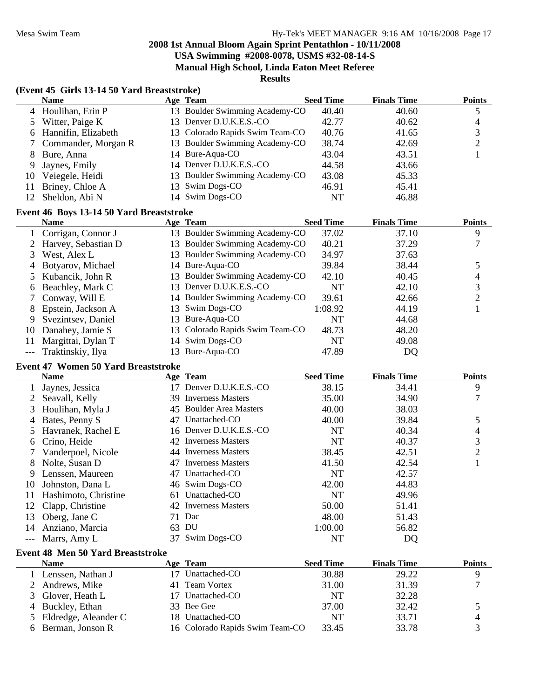**USA Swimming #2008-0078, USMS #32-08-14-S**

**Manual High School, Linda Eaton Meet Referee**

**Results**

|  |  | (Event 45 Girls 13-14 50 Yard Breaststroke) |
|--|--|---------------------------------------------|
|--|--|---------------------------------------------|

|    | <b>Name</b>           | Age Team                        | <b>Seed Time</b> | <b>Finals Time</b> | <b>Points</b> |
|----|-----------------------|---------------------------------|------------------|--------------------|---------------|
|    | 4 Houlihan, Erin P    | 13 Boulder Swimming Academy-CO  | 40.40            | 40.60              |               |
|    | 5 Witter, Paige K     | 13 Denver D.U.K.E.S.-CO         | 42.77            | 40.62              |               |
|    | 6 Hannifin, Elizabeth | 13 Colorado Rapids Swim Team-CO | 40.76            | 41.65              |               |
|    | 7 Commander, Morgan R | 13 Boulder Swimming Academy-CO  | 38.74            | 42.69              |               |
| 8. | Bure, Anna            | 14 Bure-Aqua-CO                 | 43.04            | 43.51              |               |
| 9. | Jaynes, Emily         | 14 Denver D.U.K.E.S.-CO         | 44.58            | 43.66              |               |
| 10 | Veiegele, Heidi       | 13 Boulder Swimming Academy-CO  | 43.08            | 45.33              |               |
| 11 | Briney, Chloe A       | 13 Swim Dogs-CO                 | 46.91            | 45.41              |               |
|    | Sheldon, Abi N        | 14 Swim Dogs-CO                 | NT               | 46.88              |               |

# **Event 46 Boys 13-14 50 Yard Breaststroke**

|    | <b>Name</b>           | Age Team                        | <b>Seed Time</b> | <b>Finals Time</b> | <b>Points</b> |
|----|-----------------------|---------------------------------|------------------|--------------------|---------------|
|    | Corrigan, Connor J    | 13 Boulder Swimming Academy-CO  | 37.02            | 37.10              | 9             |
|    | 2 Harvey, Sebastian D | 13 Boulder Swimming Academy-CO  | 40.21            | 37.29              |               |
|    | West, Alex L          | 13 Boulder Swimming Academy-CO  | 34.97            | 37.63              |               |
| 4  | Botyarov, Michael     | 14 Bure-Aqua-CO                 | 39.84            | 38.44              |               |
|    | 5 Kubancik, John R    | 13 Boulder Swimming Academy-CO  | 42.10            | 40.45              | 4             |
| 6  | Beachley, Mark C      | 13 Denver D.U.K.E.S.-CO         | NT               | 42.10              |               |
|    | Conway, Will E        | 14 Boulder Swimming Academy-CO  | 39.61            | 42.66              |               |
| 8  | Epstein, Jackson A    | 13 Swim Dogs-CO                 | 1:08.92          | 44.19              |               |
| 9. | Svezintsev, Daniel    | 13 Bure-Aqua-CO                 | <b>NT</b>        | 44.68              |               |
| 10 | Danahey, Jamie S      | 13 Colorado Rapids Swim Team-CO | 48.73            | 48.20              |               |
|    | Margittai, Dylan T    | 14 Swim Dogs-CO                 | NT               | 49.08              |               |
|    | Traktinskiy, Ilya     | 13 Bure-Aqua-CO                 | 47.89            | DQ                 |               |

# **Event 47 Women 50 Yard Breaststroke**

|    | <b>Name</b>          |    | Age Team                 | <b>Seed Time</b> | <b>Finals Time</b> | <b>Points</b>  |
|----|----------------------|----|--------------------------|------------------|--------------------|----------------|
|    | Jaynes, Jessica      | 17 | Denver D.U.K.E.S.-CO     | 38.15            | 34.41              | 9              |
|    | Seavall, Kelly       |    | 39 Inverness Masters     | 35.00            | 34.90              | 7              |
| 3  | Houlihan, Myla J     |    | 45 Boulder Area Masters  | 40.00            | 38.03              |                |
| 4  | Bates, Penny S       | 47 | Unattached-CO            | 40.00            | 39.84              | 5              |
| 5. | Havranek, Rachel E   |    | 16 Denver D.U.K.E.S.-CO  | NT               | 40.34              | 4              |
| 6  | Crino, Heide         |    | 42 Inverness Masters     | <b>NT</b>        | 40.37              | 3              |
|    | Vanderpoel, Nicole   |    | 44 Inverness Masters     | 38.45            | 42.51              | $\overline{2}$ |
| 8  | Nolte, Susan D       | 47 | <b>Inverness Masters</b> | 41.50            | 42.54              |                |
| 9  | Lenssen, Maureen     | 47 | Unattached-CO            | NT               | 42.57              |                |
| 10 | Johnston, Dana L     |    | 46 Swim Dogs-CO          | 42.00            | 44.83              |                |
| 11 | Hashimoto, Christine | 61 | Unattached-CO            | NT               | 49.96              |                |
| 12 | Clapp, Christine     |    | 42 Inverness Masters     | 50.00            | 51.41              |                |
| 13 | Oberg, Jane C        | 71 | Dac                      | 48.00            | 51.43              |                |
| 14 | Anziano, Marcia      | 63 | DU                       | 1:00.00          | 56.82              |                |
|    | Marrs, Amy L         | 37 | Swim Dogs-CO             | NT               | DQ                 |                |

# **Event 48 Men 50 Yard Breaststroke**

| <b>Name</b>            | Age Team                        | <b>Seed Time</b> | <b>Finals Time</b> | <b>Points</b> |
|------------------------|---------------------------------|------------------|--------------------|---------------|
| Lenssen, Nathan J      | Unattached-CO                   | 30.88            | 29.22              |               |
| 2 Andrews, Mike        | 41 Team Vortex                  | 31.00            | 31.39              |               |
| 3 Glover, Heath L      | Unattached-CO                   | NT               | 32.28              |               |
| 4 Buckley, Ethan       | 33 Bee Gee                      | 37.00            | 32.42              |               |
| 5 Eldredge, Aleander C | 18 Unattached-CO                | NT               | 33.71              | 4             |
| 6 Berman, Jonson R     | 16 Colorado Rapids Swim Team-CO | 33.45            | 33.78              |               |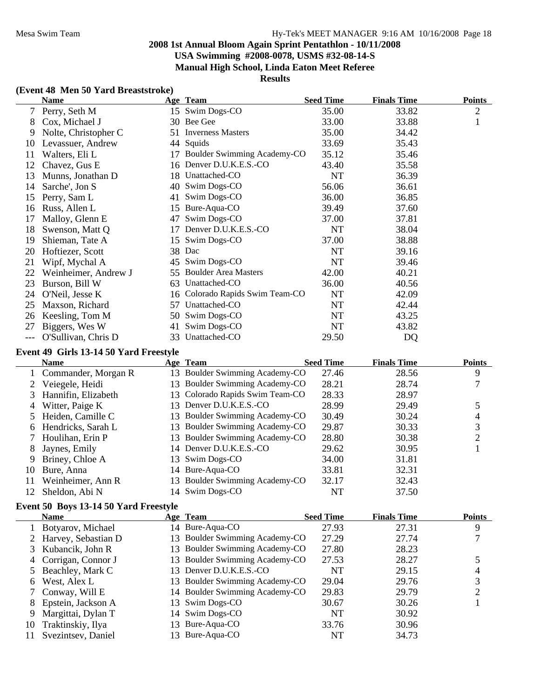**USA Swimming #2008-0078, USMS #32-08-14-S**

**Manual High School, Linda Eaton Meet Referee**

# **Results**

### **(Event 48 Men 50 Yard Breaststroke)**

|    | <b>Name</b>          |     | Age Team                     | <b>Seed Time</b> | <b>Finals Time</b> | <b>Points</b>  |
|----|----------------------|-----|------------------------------|------------------|--------------------|----------------|
| 7  | Perry, Seth M        |     | 15 Swim Dogs-CO              | 35.00            | 33.82              | $\overline{2}$ |
| 8  | Cox, Michael J       |     | 30 Bee Gee                   | 33.00            | 33.88              | $\mathbf{1}$   |
| 9  | Nolte, Christopher C | 51  | <b>Inverness Masters</b>     | 35.00            | 34.42              |                |
| 10 | Levassuer, Andrew    | 44  | Squids                       | 33.69            | 35.43              |                |
| 11 | Walters, Eli L       | 17  | Boulder Swimming Academy-CO  | 35.12            | 35.46              |                |
| 12 | Chavez, Gus E        |     | 16 Denver D.U.K.E.S.-CO      | 43.40            | 35.58              |                |
| 13 | Munns, Jonathan D    | 18. | Unattached-CO                | NT               | 36.39              |                |
| 14 | Sarche', Jon S       | 40  | Swim Dogs-CO                 | 56.06            | 36.61              |                |
| 15 | Perry, Sam L         | 41  | Swim Dogs-CO                 | 36.00            | 36.85              |                |
| 16 | Russ, Allen L        | 15. | Bure-Aqua-CO                 | 39.49            | 37.60              |                |
| 17 | Malloy, Glenn E      | 47  | Swim Dogs-CO                 | 37.00            | 37.81              |                |
| 18 | Swenson, Matt Q      | 17  | Denver D.U.K.E.S.-CO         | NT               | 38.04              |                |
| 19 | Shieman, Tate A      | 15  | Swim Dogs-CO                 | 37.00            | 38.88              |                |
| 20 | Hoftiezer, Scott     | 38  | Dac                          | NT               | 39.16              |                |
| 21 | Wipf, Mychal A       | 45  | Swim Dogs-CO                 | NT               | 39.46              |                |
| 22 | Weinheimer, Andrew J | 55  | <b>Boulder Area Masters</b>  | 42.00            | 40.21              |                |
| 23 | Burson, Bill W       | 63  | Unattached-CO                | 36.00            | 40.56              |                |
| 24 | O'Neil, Jesse K      | 16  | Colorado Rapids Swim Team-CO | NT               | 42.09              |                |
| 25 | Maxson, Richard      | 57  | Unattached-CO                | <b>NT</b>        | 42.44              |                |
| 26 | Keesling, Tom M      | 50  | Swim Dogs-CO                 | NT               | 43.25              |                |
| 27 | Biggers, Wes W       | 41  | Swim Dogs-CO                 | NT               | 43.82              |                |
|    | O'Sullivan, Chris D  | 33  | Unattached-CO                | 29.50            | <b>DQ</b>          |                |

#### **Event 49 Girls 13-14 50 Yard Freestyle**

|     | <b>Name</b>           |     | Age Team                        | <b>Seed Time</b> | <b>Finals Time</b> | <b>Points</b> |
|-----|-----------------------|-----|---------------------------------|------------------|--------------------|---------------|
|     | 1 Commander, Morgan R | 13. | Boulder Swimming Academy-CO     | 27.46            | 28.56              | 9             |
|     | Veiegele, Heidi       | 13. | Boulder Swimming Academy-CO     | 28.21            | 28.74              |               |
|     | 3 Hannifin, Elizabeth |     | 13 Colorado Rapids Swim Team-CO | 28.33            | 28.97              |               |
|     | 4 Witter, Paige K     | 13. | Denver D.U.K.E.S.-CO            | 28.99            | 29.49              |               |
|     | 5 Heiden, Camille C   | 13. | Boulder Swimming Academy-CO     | 30.49            | 30.24              | 4             |
|     | 6 Hendricks, Sarah L  | 13. | Boulder Swimming Academy-CO     | 29.87            | 30.33              | 3             |
|     | 7 Houlihan, Erin P    | 13. | Boulder Swimming Academy-CO     | 28.80            | 30.38              |               |
| 8   | Jaynes, Emily         |     | 14 Denver D.U.K.E.S.-CO         | 29.62            | 30.95              |               |
| 9   | Briney, Chloe A       |     | 13 Swim Dogs-CO                 | 34.00            | 31.81              |               |
| 10  | Bure, Anna            |     | 14 Bure-Aqua-CO                 | 33.81            | 32.31              |               |
| 11  | Weinheimer, Ann R     |     | 13 Boulder Swimming Academy-CO  | 32.17            | 32.43              |               |
| 12. | Sheldon, Abi N        |     | 14 Swim Dogs-CO                 | NT               | 37.50              |               |

#### **Event 50 Boys 13-14 50 Yard Freestyle**

|    | <b>Name</b>           | Age Team                       | <b>Seed Time</b> | <b>Finals Time</b> | <b>Points</b> |
|----|-----------------------|--------------------------------|------------------|--------------------|---------------|
|    | Botyarov, Michael     | 14 Bure-Aqua-CO                | 27.93            | 27.31              | 9             |
|    | 2 Harvey, Sebastian D | 13 Boulder Swimming Academy-CO | 27.29            | 27.74              |               |
|    | 3 Kubancik, John R    | 13 Boulder Swimming Academy-CO | 27.80            | 28.23              |               |
|    | 4 Corrigan, Connor J  | 13 Boulder Swimming Academy-CO | 27.53            | 28.27              |               |
|    | 5 Beachley, Mark C    | 13 Denver D.U.K.E.S.-CO        | NT               | 29.15              |               |
| 6  | West, Alex L          | 13 Boulder Swimming Academy-CO | 29.04            | 29.76              | 3             |
|    | 7 Conway, Will E      | 14 Boulder Swimming Academy-CO | 29.83            | 29.79              |               |
| 8  | Epstein, Jackson A    | 13 Swim Dogs-CO                | 30.67            | 30.26              |               |
| 9  | Margittai, Dylan T    | 14 Swim Dogs-CO                | NT               | 30.92              |               |
| 10 | Traktinskiy, Ilya     | 13 Bure-Aqua-CO                | 33.76            | 30.96              |               |
|    | Svezintsev, Daniel    | 13 Bure-Aqua-CO                | NT               | 34.73              |               |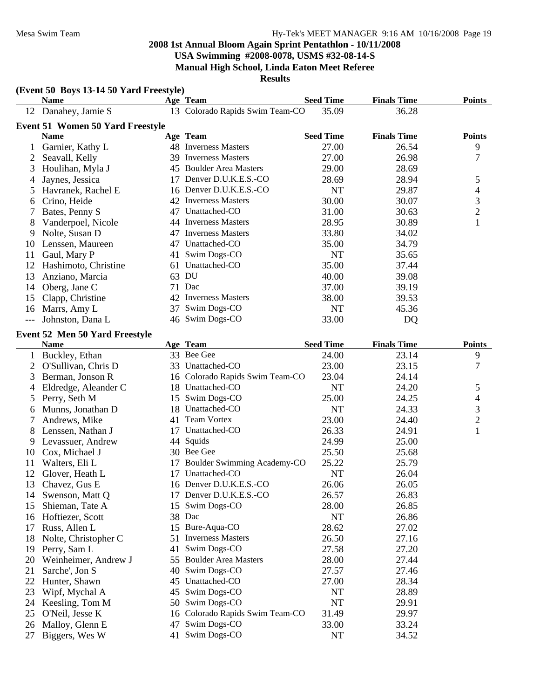**USA Swimming #2008-0078, USMS #32-08-14-S Manual High School, Linda Eaton Meet Referee**

|                | (Event 50 Boys 13-14 50 Yard Freestyle) |    |                                 |                    |                    |                         |
|----------------|-----------------------------------------|----|---------------------------------|--------------------|--------------------|-------------------------|
|                | <b>Name</b>                             |    | Age Team                        | <b>Seed Time</b>   | <b>Finals Time</b> | <b>Points</b>           |
|                | 12 Danahey, Jamie S                     |    | 13 Colorado Rapids Swim Team-CO | 35.09              | 36.28              |                         |
|                | <b>Event 51 Women 50 Yard Freestyle</b> |    |                                 |                    |                    |                         |
|                | <b>Name</b>                             |    | Age Team                        | <b>Seed Time</b>   | <b>Finals Time</b> | <b>Points</b>           |
| 1              | Garnier, Kathy L                        |    | 48 Inverness Masters            | 27.00              | 26.54              | 9                       |
| 2              | Seavall, Kelly                          |    | 39 Inverness Masters            | 27.00              | 26.98              | 7                       |
| 3              | Houlihan, Myla J                        |    | 45 Boulder Area Masters         | 29.00              | 28.69              |                         |
| 4              | Jaynes, Jessica                         |    | 17 Denver D.U.K.E.S.-CO         | 28.69              | 28.94              | 5                       |
| 5              | Havranek, Rachel E                      |    | 16 Denver D.U.K.E.S.-CO         | NT                 | 29.87              | 4                       |
| 6              | Crino, Heide                            |    | 42 Inverness Masters            | 30.00              | 30.07              | 3                       |
| 7              | Bates, Penny S                          |    | 47 Unattached-CO                | 31.00              | 30.63              | $\overline{c}$          |
| 8              | Vanderpoel, Nicole                      |    | 44 Inverness Masters            | 28.95              | 30.89              | 1                       |
| 9              | Nolte, Susan D                          |    | 47 Inverness Masters            | 33.80              | 34.02              |                         |
| 10             | Lenssen, Maureen                        |    | 47 Unattached-CO                | 35.00              | 34.79              |                         |
| 11             | Gaul, Mary P                            | 41 | Swim Dogs-CO                    | NT                 | 35.65              |                         |
| 12             | Hashimoto, Christine                    | 61 | Unattached-CO                   | 35.00              | 37.44              |                         |
| 13             | Anziano, Marcia                         |    | 63 DU                           | 40.00              | 39.08              |                         |
| 14             | Oberg, Jane C                           |    | 71 Dac                          | 37.00              | 39.19              |                         |
| 15             | Clapp, Christine                        |    | 42 Inverness Masters            | 38.00              | 39.53              |                         |
| 16             | Marrs, Amy L                            | 37 | Swim Dogs-CO                    | <b>NT</b>          | 45.36              |                         |
| $---$          | Johnston, Dana L                        |    | 46 Swim Dogs-CO                 | 33.00              | DQ                 |                         |
|                | Event 52 Men 50 Yard Freestyle          |    |                                 |                    |                    |                         |
|                | <b>Name</b>                             |    | Age Team                        | <b>Seed Time</b>   | <b>Finals Time</b> | <b>Points</b>           |
|                | 1 Buckley, Ethan                        |    | 33 Bee Gee                      | 24.00              | 23.14              | 9                       |
| $\overline{2}$ | O'Sullivan, Chris D                     |    | 33 Unattached-CO                | 23.00              | 23.15              | 7                       |
| 3              | Berman, Jonson R                        |    | 16 Colorado Rapids Swim Team-CO | 23.04              | 24.14              |                         |
| 4              | Eldredge, Aleander C                    |    | 18 Unattached-CO                | NT                 | 24.20              | 5                       |
| 5              | Perry, Seth M                           |    | 15 Swim Dogs-CO                 | 25.00              | 24.25              | 4                       |
| 6              | Munns, Jonathan D                       |    | 18 Unattached-CO                | <b>NT</b>          | 24.33              | 3                       |
| 7              | Andrews, Mike                           |    | 41 Team Vortex                  | 23.00              | 24.40              | $\overline{\mathbf{c}}$ |
| 8              | Lenssen, Nathan J                       |    | 17 Unattached-CO                | 26.33              | 24.91              | $\mathbf{1}$            |
| 9              | Levassuer, Andrew                       |    | 44 Squids                       | 24.99              | 25.00              |                         |
| 10             | Cox, Michael J                          |    | 30 Bee Gee                      | 25.50              | 25.68              |                         |
|                |                                         |    | Boulder Swimming Academy-CO     |                    |                    |                         |
| 11<br>12       | Walters, Eli L                          | 17 | 17 Unattached-CO                | 25.22<br><b>NT</b> | 25.79              |                         |
|                | Glover, Heath L                         |    | 16 Denver D.U.K.E.S.-CO         |                    | 26.04              |                         |
| 13             | Chavez, Gus E                           |    |                                 | 26.06              | 26.05              |                         |
| 14             | Swenson, Matt Q                         | 17 | Denver D.U.K.E.S.-CO            | 26.57              | 26.83              |                         |
| 15             | Shieman, Tate A                         | 15 | Swim Dogs-CO                    | 28.00              | 26.85              |                         |
| 16             | Hoftiezer, Scott                        | 38 | Dac                             | <b>NT</b>          | 26.86              |                         |
| 17             | Russ, Allen L                           | 15 | Bure-Aqua-CO                    | 28.62              | 27.02              |                         |
| 18             | Nolte, Christopher C                    | 51 | <b>Inverness Masters</b>        | 26.50              | 27.16              |                         |
| 19             | Perry, Sam L                            | 41 | Swim Dogs-CO                    | 27.58              | 27.20              |                         |
| 20             | Weinheimer, Andrew J                    | 55 | <b>Boulder Area Masters</b>     | 28.00              | 27.44              |                         |
| 21             | Sarche', Jon S                          | 40 | Swim Dogs-CO                    | 27.57              | 27.46              |                         |
| 22             | Hunter, Shawn                           | 45 | Unattached-CO                   | 27.00              | 28.34              |                         |
| 23             | Wipf, Mychal A                          |    | 45 Swim Dogs-CO                 | NT                 | 28.89              |                         |
| 24             | Keesling, Tom M                         | 50 | Swim Dogs-CO                    | NT                 | 29.91              |                         |
| 25             | O'Neil, Jesse K                         |    | 16 Colorado Rapids Swim Team-CO | 31.49              | 29.97              |                         |
| 26             | Malloy, Glenn E                         | 47 | Swim Dogs-CO                    | 33.00              | 33.24              |                         |
| 27             | Biggers, Wes W                          |    | 41 Swim Dogs-CO                 | NT                 | 34.52              |                         |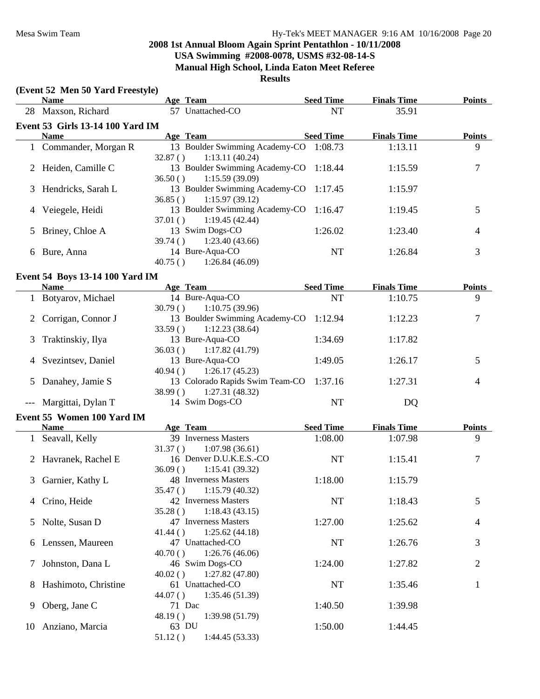|                | (Event 52 Men 50 Yard Freestyle)       |                    |                                                          |                  |                    |                |
|----------------|----------------------------------------|--------------------|----------------------------------------------------------|------------------|--------------------|----------------|
|                | <b>Name</b>                            |                    | Age Team                                                 | <b>Seed Time</b> | <b>Finals Time</b> | <b>Points</b>  |
|                | 28 Maxson, Richard                     |                    | 57 Unattached-CO                                         | <b>NT</b>        | 35.91              |                |
|                | Event 53 Girls 13-14 100 Yard IM       |                    |                                                          |                  |                    |                |
|                | <b>Name</b>                            |                    | Age Team                                                 | <b>Seed Time</b> | <b>Finals Time</b> | <b>Points</b>  |
|                | 1 Commander, Morgan R                  | 32.87()            | 13 Boulder Swimming Academy-CO 1:08.73<br>1:13.11(40.24) |                  | 1:13.11            | 9              |
|                | 2 Heiden, Camille C                    | 36.50()            | 13 Boulder Swimming Academy-CO 1:18.44<br>1:15.59(39.09) |                  | 1:15.59            | $\tau$         |
| 3              | Hendricks, Sarah L                     | 36.85()            | 13 Boulder Swimming Academy-CO 1:17.45<br>1:15.97(39.12) |                  | 1:15.97            |                |
| 4              | Veiegele, Heidi                        | 37.01()            | 13 Boulder Swimming Academy-CO 1:16.47<br>1:19.45(42.44) |                  | 1:19.45            | 5              |
| 5              | Briney, Chloe A                        | 39.74()            | 13 Swim Dogs-CO<br>1:23.40(43.66)                        | 1:26.02          | 1:23.40            | 4              |
|                | 6 Bure, Anna                           | 40.75()            | 14 Bure-Aqua-CO<br>1:26.84(46.09)                        | <b>NT</b>        | 1:26.84            | 3              |
|                | <b>Event 54 Boys 13-14 100 Yard IM</b> |                    |                                                          |                  |                    |                |
|                | <b>Name</b>                            |                    | Age Team                                                 | <b>Seed Time</b> | <b>Finals Time</b> | <b>Points</b>  |
|                | 1 Botyarov, Michael                    | 30.79()            | 14 Bure-Aqua-CO<br>1:10.75(39.96)                        | <b>NT</b>        | 1:10.75            | 9              |
| $\overline{2}$ | Corrigan, Connor J                     | 33.59()            | 13 Boulder Swimming Academy-CO 1:12.94<br>1:12.23(38.64) |                  | 1:12.23            | 7              |
| 3              | Traktinskiy, Ilya                      | 36.03()            | 13 Bure-Aqua-CO<br>1:17.82(41.79)                        | 1:34.69          | 1:17.82            |                |
| 4              | Svezintsev, Daniel                     | 40.94()            | 13 Bure-Aqua-CO<br>1:26.17(45.23)                        | 1:49.05          | 1:26.17            | 5              |
| 5              | Danahey, Jamie S                       | 38.99()            | 13 Colorado Rapids Swim Team-CO<br>1:27.31(48.32)        | 1:37.16          | 1:27.31            | 4              |
| $---$          | Margittai, Dylan T                     |                    | 14 Swim Dogs-CO                                          | <b>NT</b>        | DQ                 |                |
|                | Event 55 Women 100 Yard IM             |                    |                                                          |                  |                    |                |
|                | <b>Name</b>                            |                    | Age Team                                                 | <b>Seed Time</b> | <b>Finals Time</b> | <b>Points</b>  |
|                | 1 Seavall, Kelly                       | 31.37()            | 39 Inverness Masters<br>1:07.98(36.61)                   | 1:08.00          | 1:07.98            | 9              |
|                | 2 Havranek, Rachel E                   | 36.09()            | 16 Denver D.U.K.E.S.-CO<br>1:15.41(39.32)                | <b>NT</b>        | 1:15.41            | 7              |
|                | 3 Garnier, Kathy L                     | 35.47()            | 48 Inverness Masters<br>1:15.79(40.32)                   | 1:18.00          | 1:15.79            |                |
|                | Crino, Heide                           | 35.28()            | 42 Inverness Masters<br>1:18.43(43.15)                   | NT               | 1:18.43            | 5              |
| $\mathcal{L}$  | Nolte, Susan D                         | 41.44()            | 47 Inverness Masters<br>1:25.62(44.18)                   | 1:27.00          | 1:25.62            | 4              |
| 6              | Lenssen, Maureen                       | 40.70()            | 47 Unattached-CO<br>1:26.76(46.06)                       | NT               | 1:26.76            | 3              |
| Ί              | Johnston, Dana L                       |                    | 46 Swim Dogs-CO                                          | 1:24.00          | 1:27.82            | $\overline{2}$ |
| 8              | Hashimoto, Christine                   | 40.02()            | 1:27.82(47.80)<br>61 Unattached-CO                       | NT               | 1:35.46            | $\mathbf{1}$   |
| 9              | Oberg, Jane C                          | 44.07()            | 1:35.46 (51.39)<br>71 Dac                                | 1:40.50          | 1:39.98            |                |
| 10             | Anziano, Marcia                        | 48.19()<br>51.12() | 1:39.98 (51.79)<br>63 DU<br>1:44.45 (53.33)              | 1:50.00          | 1:44.45            |                |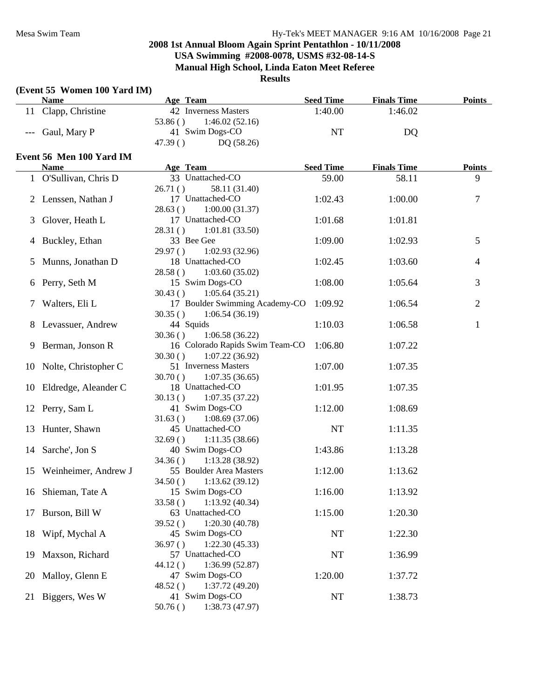|    | (Event 55 Women 100 Yard IM) |                                                                 |                  |                    |                |
|----|------------------------------|-----------------------------------------------------------------|------------------|--------------------|----------------|
|    | <b>Name</b>                  | Age Team                                                        | <b>Seed Time</b> | <b>Finals Time</b> | <b>Points</b>  |
|    | 11 Clapp, Christine          | 42 Inverness Masters<br>53.86()<br>1:46.02(52.16)               | 1:40.00          | 1:46.02            |                |
|    | Gaul, Mary P                 | 41 Swim Dogs-CO<br>47.39()<br>DQ (58.26)                        | NT               | DQ                 |                |
|    | Event 56 Men 100 Yard IM     |                                                                 |                  |                    |                |
|    | <b>Name</b>                  | Age Team                                                        | <b>Seed Time</b> | <b>Finals Time</b> | <b>Points</b>  |
| 1  | O'Sullivan, Chris D          | 33 Unattached-CO                                                | 59.00            | 58.11              | 9              |
| 2  | Lenssen, Nathan J            | 58.11 (31.40)<br>26.71()<br>17 Unattached-CO                    | 1:02.43          | 1:00.00            | 7              |
| 3  | Glover, Heath L              | 1:00.00(31.37)<br>28.63()<br>17 Unattached-CO                   | 1:01.68          | 1:01.81            |                |
| 4  | Buckley, Ethan               | 1:01.81(33.50)<br>28.31()<br>33 Bee Gee                         | 1:09.00          | 1:02.93            | 5              |
| 5  | Munns, Jonathan D            | 1:02.93 (32.96)<br>29.97()<br>18 Unattached-CO                  | 1:02.45          | 1:03.60            | 4              |
| 6  | Perry, Seth M                | 28.58()<br>1:03.60(35.02)<br>15 Swim Dogs-CO                    | 1:08.00          | 1:05.64            | 3              |
| 7  | Walters, Eli L               | 30.43()<br>1:05.64(35.21)<br>17 Boulder Swimming Academy-CO     | 1:09.92          | 1:06.54            | $\overline{2}$ |
| 8  | Levassuer, Andrew            | 1:06.54(36.19)<br>30.35()<br>44 Squids                          | 1:10.03          | 1:06.58            | $\mathbf{1}$   |
| 9  | Berman, Jonson R             | 1:06.58(36.22)<br>30.36()<br>16 Colorado Rapids Swim Team-CO    | 1:06.80          | 1:07.22            |                |
| 10 | Nolte, Christopher C         | 30.30()<br>1:07.22(36.92)<br>51 Inverness Masters               | 1:07.00          | 1:07.35            |                |
| 10 | Eldredge, Aleander C         | 30.70()<br>1:07.35(36.65)<br>18 Unattached-CO                   | 1:01.95          | 1:07.35            |                |
| 12 | Perry, Sam L                 | 1:07.35(37.22)<br>30.13()<br>41 Swim Dogs-CO                    | 1:12.00          | 1:08.69            |                |
| 13 | Hunter, Shawn                | 1:08.69(37.06)<br>31.63()<br>45 Unattached-CO                   | <b>NT</b>        | 1:11.35            |                |
| 14 | Sarche', Jon S               | 32.69()<br>1:11.35(38.66)<br>40 Swim Dogs-CO                    | 1:43.86          | 1:13.28            |                |
| 15 | Weinheimer, Andrew J         | 34.36()<br>1:13.28(38.92)<br>55 Boulder Area Masters            | 1:12.00          | 1:13.62            |                |
| 16 | Shieman, Tate A              | 34.50()<br>1:13.62(39.12)<br>15 Swim Dogs-CO                    | 1:16.00          | 1:13.92            |                |
| 17 | Burson, Bill W               | 33.58()<br>1:13.92(40.34)<br>63 Unattached-CO                   | 1:15.00          | 1:20.30            |                |
| 18 | Wipf, Mychal A               | 1:20.30(40.78)<br>39.52()<br>45 Swim Dogs-CO                    | NT               | 1:22.30            |                |
| 19 | Maxson, Richard              | 36.97()<br>1:22.30(45.33)<br>57 Unattached-CO<br>1:36.99(52.87) | NT               | 1:36.99            |                |
| 20 | Malloy, Glenn E              | 44.12()<br>47 Swim Dogs-CO<br>1:37.72(49.20)                    | 1:20.00          | 1:37.72            |                |
|    | 21 Biggers, Wes W            | 48.52()<br>41 Swim Dogs-CO<br>1:38.73 (47.97)<br>50.76()        | NT               | 1:38.73            |                |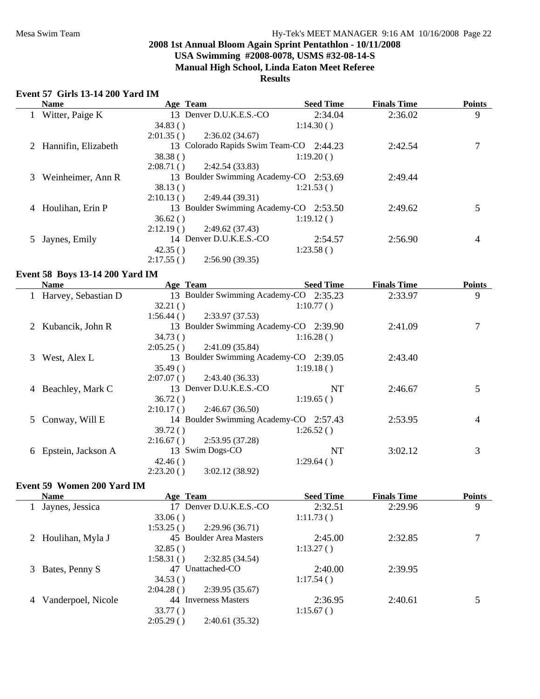# **USA Swimming #2008-0078, USMS #32-08-14-S**

**Manual High School, Linda Eaton Meet Referee**

# **Results**

# **Event 57 Girls 13-14 200 Yard IM**

|   | <b>Name</b>           | Age Team  |                                         | <b>Seed Time</b> | <b>Finals Time</b> | <b>Points</b> |
|---|-----------------------|-----------|-----------------------------------------|------------------|--------------------|---------------|
|   | Witter, Paige K       |           | 13 Denver D.U.K.E.S.-CO                 | 2:34.04          | 2:36.02            | 9             |
|   |                       | 34.83()   |                                         | 1:14.30()        |                    |               |
|   |                       | 2:01.35() | 2:36.02(34.67)                          |                  |                    |               |
|   | 2 Hannifin, Elizabeth |           | 13 Colorado Rapids Swim Team-CO 2:44.23 |                  | 2:42.54            |               |
|   |                       | 38.38()   |                                         | 1:19.20()        |                    |               |
|   |                       | 2:08.71() | 2:42.54(33.83)                          |                  |                    |               |
| 3 | Weinheimer, Ann R     |           | 13 Boulder Swimming Academy-CO 2:53.69  |                  | 2:49.44            |               |
|   |                       | 38.13()   |                                         | 1:21.53()        |                    |               |
|   |                       | 2:10.13() | 2:49.44(39.31)                          |                  |                    |               |
| 4 | Houlihan, Erin P      |           | 13 Boulder Swimming Academy-CO 2:53.50  |                  | 2:49.62            | 5             |
|   |                       | 36.62()   |                                         | 1:19.12()        |                    |               |
|   |                       | 2:12.19() | 2:49.62(37.43)                          |                  |                    |               |
|   | Jaynes, Emily         |           | 14 Denver D.U.K.E.S.-CO                 | 2:54.57          | 2:56.90            | 4             |
|   |                       | 42.35()   |                                         | 1:23.58()        |                    |               |
|   |                       | 2:17.55() | 2:56.90(39.35)                          |                  |                    |               |

# **Event 58 Boys 13-14 200 Yard IM**

|                | <b>Name</b>         | Age Team  |                                        | <b>Seed Time</b> | <b>Finals Time</b> | <b>Points</b> |
|----------------|---------------------|-----------|----------------------------------------|------------------|--------------------|---------------|
|                | Harvey, Sebastian D |           | 13 Boulder Swimming Academy-CO 2:35.23 |                  | 2:33.97            | 9             |
|                |                     | 32.21()   |                                        | 1:10.77()        |                    |               |
|                |                     | 1:56.44() | 2:33.97(37.53)                         |                  |                    |               |
| 2              | Kubancik, John R    |           | 13 Boulder Swimming Academy-CO 2:39.90 |                  | 2:41.09            |               |
|                |                     | 34.73()   |                                        | 1:16.28()        |                    |               |
|                |                     | 2:05.25() | 2:41.09(35.84)                         |                  |                    |               |
| 3              | West, Alex L        |           | 13 Boulder Swimming Academy-CO 2:39.05 |                  | 2:43.40            |               |
|                |                     | 35.49()   |                                        | 1:19.18()        |                    |               |
|                |                     | 2:07.07() | 2:43.40 (36.33)                        |                  |                    |               |
| $\overline{4}$ | Beachley, Mark C    |           | 13 Denver D.U.K.E.S.-CO                | NT               | 2:46.67            | 5             |
|                |                     | 36.72()   |                                        | 1:19.65()        |                    |               |
|                |                     | 2:10.17() | 2:46.67(36.50)                         |                  |                    |               |
| 5.             | Conway, Will E      |           | 14 Boulder Swimming Academy-CO 2:57.43 |                  | 2:53.95            | 4             |
|                |                     | 39.72()   |                                        | 1:26.52()        |                    |               |
|                |                     | 2:16.67() | 2:53.95(37.28)                         |                  |                    |               |
| 6              | Epstein, Jackson A  |           | 13 Swim Dogs-CO                        | NT               | 3:02.12            | 3             |
|                |                     | 42.46()   |                                        | 1:29.64()        |                    |               |
|                |                     | 2:23.20() | 3:02.12(38.92)                         |                  |                    |               |

#### **Event 59 Women 200 Yard IM**

|  | <b>Name</b>                                   | Age Team                    | <b>Seed Time</b> | <b>Finals Time</b> | <b>Points</b> |
|--|-----------------------------------------------|-----------------------------|------------------|--------------------|---------------|
|  | Jaynes, Jessica                               | Denver D.U.K.E.S.-CO<br>17  | 2:32.51          | 2:29.96            | 9             |
|  |                                               | 33.06()                     | 1:11.73()        |                    |               |
|  |                                               | 1:53.25()<br>2:29.96(36.71) |                  |                    |               |
|  | 45 Boulder Area Masters<br>2 Houlihan, Myla J |                             | 2:45.00          | 2:32.85            |               |
|  |                                               | 32.85()                     | 1:13.27()        |                    |               |
|  |                                               | 1:58.31()<br>2:32.85(34.54) |                  |                    |               |
|  | 3 Bates, Penny S                              | Unattached-CO<br>47         | 2:40.00          | 2:39.95            |               |
|  |                                               | 34.53()                     | 1:17.54()        |                    |               |
|  |                                               | 2:04.28()<br>2:39.95(35.67) |                  |                    |               |
|  | Vanderpoel, Nicole                            | 44 Inverness Masters        | 2:36.95          | 2:40.61            |               |
|  |                                               | 33.77()                     | 1:15.67()        |                    |               |
|  |                                               | 2:05.29()<br>2:40.61(35.32) |                  |                    |               |